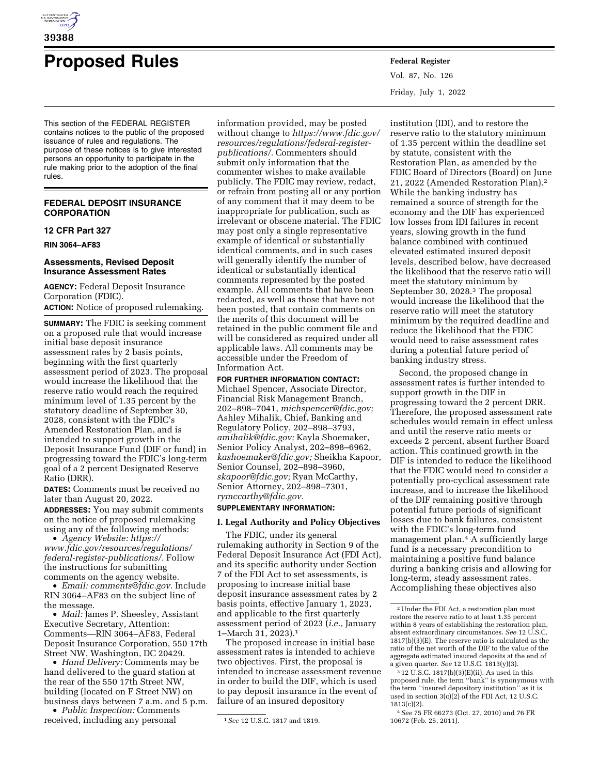

# **Proposed Rules Federal Register**

This section of the FEDERAL REGISTER contains notices to the public of the proposed issuance of rules and regulations. The purpose of these notices is to give interested persons an opportunity to participate in the rule making prior to the adoption of the final rules.

## **FEDERAL DEPOSIT INSURANCE CORPORATION**

## **12 CFR Part 327**

**RIN 3064–AF83** 

#### **Assessments, Revised Deposit Insurance Assessment Rates**

**AGENCY:** Federal Deposit Insurance Corporation (FDIC). **ACTION:** Notice of proposed rulemaking.

**SUMMARY:** The FDIC is seeking comment on a proposed rule that would increase initial base deposit insurance assessment rates by 2 basis points, beginning with the first quarterly assessment period of 2023. The proposal would increase the likelihood that the reserve ratio would reach the required minimum level of 1.35 percent by the statutory deadline of September 30, 2028, consistent with the FDIC's Amended Restoration Plan, and is intended to support growth in the Deposit Insurance Fund (DIF or fund) in progressing toward the FDIC's long-term goal of a 2 percent Designated Reserve Ratio (DRR).

**DATES:** Comments must be received no later than August 20, 2022.

**ADDRESSES:** You may submit comments on the notice of proposed rulemaking using any of the following methods:

• *Agency Website: [https://](https://www.fdic.gov/resources/regulations/federal-register-publications/) [www.fdic.gov/resources/regulations/](https://www.fdic.gov/resources/regulations/federal-register-publications/) [federal-register-publications/.](https://www.fdic.gov/resources/regulations/federal-register-publications/)* Follow the instructions for submitting comments on the agency website.

• *Email: [comments@fdic.gov.](mailto:comments@fdic.gov)* Include RIN 3064–AF83 on the subject line of the message.

• *Mail:* James P. Sheesley, Assistant Executive Secretary, Attention: Comments—RIN 3064–AF83, Federal Deposit Insurance Corporation, 550 17th Street NW, Washington, DC 20429.

• *Hand Delivery:* Comments may be hand delivered to the guard station at the rear of the 550 17th Street NW, building (located on F Street NW) on business days between 7 a.m. and 5 p.m.

• *Public Inspection:* Comments received, including any personal

information provided, may be posted without change to *[https://www.fdic.gov/](https://www.fdic.gov/resources/regulations/federal-register-publications/)  [resources/regulations/federal-register](https://www.fdic.gov/resources/regulations/federal-register-publications/)[publications/.](https://www.fdic.gov/resources/regulations/federal-register-publications/)* Commenters should submit only information that the commenter wishes to make available publicly. The FDIC may review, redact, or refrain from posting all or any portion of any comment that it may deem to be inappropriate for publication, such as irrelevant or obscene material. The FDIC may post only a single representative example of identical or substantially identical comments, and in such cases will generally identify the number of identical or substantially identical comments represented by the posted example. All comments that have been redacted, as well as those that have not been posted, that contain comments on the merits of this document will be retained in the public comment file and will be considered as required under all applicable laws. All comments may be accessible under the Freedom of Information Act.

**FOR FURTHER INFORMATION CONTACT:**  Michael Spencer, Associate Director, Financial Risk Management Branch, 202–898–7041, *[michspencer@fdic.gov;](mailto:michspencer@fdic.gov)*  Ashley Mihalik, Chief, Banking and Regulatory Policy, 202–898–3793, *[amihalik@fdic.gov;](mailto:amihalik@fdic.gov)* Kayla Shoemaker, Senior Policy Analyst, 202–898–6962, *[kashoemaker@fdic.gov;](mailto:kashoemaker@fdic.gov)* Sheikha Kapoor, Senior Counsel, 202–898–3960, *[skapoor@fdic.gov;](mailto:skapoor@fdic.gov)* Ryan McCarthy, Senior Attorney, 202–898–7301, *[rymccarthy@fdic.gov.](mailto:rymccarthy@fdic.gov)* 

## **SUPPLEMENTARY INFORMATION:**

#### **I. Legal Authority and Policy Objectives**

The FDIC, under its general rulemaking authority in Section 9 of the Federal Deposit Insurance Act (FDI Act), and its specific authority under Section 7 of the FDI Act to set assessments, is proposing to increase initial base deposit insurance assessment rates by 2 basis points, effective January 1, 2023, and applicable to the first quarterly assessment period of 2023 (*i.e.,* January 1–March 31, 2023).1

The proposed increase in initial base assessment rates is intended to achieve two objectives. First, the proposal is intended to increase assessment revenue in order to build the DIF, which is used to pay deposit insurance in the event of failure of an insured depository

Vol. 87, No. 126 Friday, July 1, 2022

institution (IDI), and to restore the reserve ratio to the statutory minimum of 1.35 percent within the deadline set by statute, consistent with the Restoration Plan, as amended by the FDIC Board of Directors (Board) on June 21, 2022 (Amended Restoration Plan).2 While the banking industry has remained a source of strength for the economy and the DIF has experienced low losses from IDI failures in recent years, slowing growth in the fund balance combined with continued elevated estimated insured deposit levels, described below, have decreased the likelihood that the reserve ratio will meet the statutory minimum by September 30, 2028.3 The proposal would increase the likelihood that the reserve ratio will meet the statutory minimum by the required deadline and reduce the likelihood that the FDIC would need to raise assessment rates during a potential future period of banking industry stress.

Second, the proposed change in assessment rates is further intended to support growth in the DIF in progressing toward the 2 percent DRR. Therefore, the proposed assessment rate schedules would remain in effect unless and until the reserve ratio meets or exceeds 2 percent, absent further Board action. This continued growth in the DIF is intended to reduce the likelihood that the FDIC would need to consider a potentially pro-cyclical assessment rate increase, and to increase the likelihood of the DIF remaining positive through potential future periods of significant losses due to bank failures, consistent with the FDIC's long-term fund management plan.4 A sufficiently large fund is a necessary precondition to maintaining a positive fund balance during a banking crisis and allowing for long-term, steady assessment rates. Accomplishing these objectives also

<sup>1</sup>*See* 12 U.S.C. 1817 and 1819.

<sup>2</sup>Under the FDI Act, a restoration plan must restore the reserve ratio to at least 1.35 percent within 8 years of establishing the restoration plan, absent extraordinary circumstances. *See* 12 U.S.C. 1817(b)(3)(E). The reserve ratio is calculated as the ratio of the net worth of the DIF to the value of the aggregate estimated insured deposits at the end of a given quarter. *See* 12 U.S.C. 1813(y)(3).

<sup>3</sup> 12 U.S.C. 1817(b)(3)(E)(ii). As used in this proposed rule, the term ''bank'' is synonymous with the term ''insured depository institution'' as it is used in section 3(c)(2) of the FDI Act, 12 U.S.C. 1813(c)(2).

<sup>4</sup>*See* 75 FR 66273 (Oct. 27, 2010) and 76 FR 10672 (Feb. 25, 2011).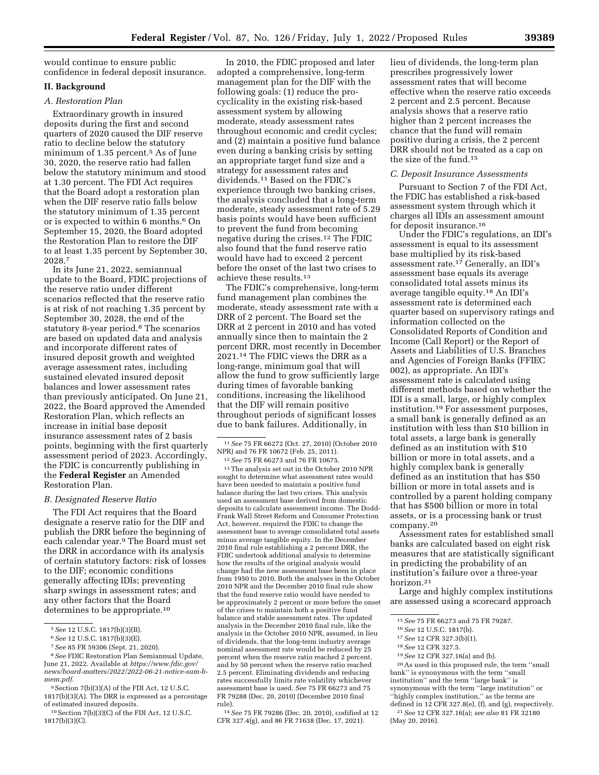would continue to ensure public confidence in federal deposit insurance.

#### **II. Background**

## *A. Restoration Plan*

Extraordinary growth in insured deposits during the first and second quarters of 2020 caused the DIF reserve ratio to decline below the statutory minimum of 1.35 percent.5 As of June 30, 2020, the reserve ratio had fallen below the statutory minimum and stood at 1.30 percent. The FDI Act requires that the Board adopt a restoration plan when the DIF reserve ratio falls below the statutory minimum of 1.35 percent or is expected to within 6 months.6 On September 15, 2020, the Board adopted the Restoration Plan to restore the DIF to at least 1.35 percent by September 30, 2028.7

In its June 21, 2022, semiannual update to the Board, FDIC projections of the reserve ratio under different scenarios reflected that the reserve ratio is at risk of not reaching 1.35 percent by September 30, 2028, the end of the statutory 8-year period.<sup>8</sup> The scenarios are based on updated data and analysis and incorporate different rates of insured deposit growth and weighted average assessment rates, including sustained elevated insured deposit balances and lower assessment rates than previously anticipated. On June 21, 2022, the Board approved the Amended Restoration Plan, which reflects an increase in initial base deposit insurance assessment rates of 2 basis points, beginning with the first quarterly assessment period of 2023. Accordingly, the FDIC is concurrently publishing in the **Federal Register** an Amended Restoration Plan.

#### *B. Designated Reserve Ratio*

The FDI Act requires that the Board designate a reserve ratio for the DIF and publish the DRR before the beginning of each calendar year.9 The Board must set the DRR in accordance with its analysis of certain statutory factors: risk of losses to the DIF; economic conditions generally affecting IDIs; preventing sharp swings in assessment rates; and any other factors that the Board determines to be appropriate.<sup>10</sup>

9Section 7(b)(3)(A) of the FDI Act, 12 U.S.C.

10Section 7(b)(3)(C) of the FDI Act, 12 U.S.C. 1817(b)(3)(C).

In 2010, the FDIC proposed and later adopted a comprehensive, long-term management plan for the DIF with the following goals: (1) reduce the procyclicality in the existing risk-based assessment system by allowing moderate, steady assessment rates throughout economic and credit cycles; and (2) maintain a positive fund balance even during a banking crisis by setting an appropriate target fund size and a strategy for assessment rates and dividends.11 Based on the FDIC's experience through two banking crises, the analysis concluded that a long-term moderate, steady assessment rate of 5.29 basis points would have been sufficient to prevent the fund from becoming negative during the crises.12 The FDIC also found that the fund reserve ratio would have had to exceed 2 percent before the onset of the last two crises to achieve these results.13

The FDIC's comprehensive, long-term fund management plan combines the moderate, steady assessment rate with a DRR of 2 percent. The Board set the DRR at 2 percent in 2010 and has voted annually since then to maintain the 2 percent DRR, most recently in December 2021.14 The FDIC views the DRR as a long-range, minimum goal that will allow the fund to grow sufficiently large during times of favorable banking conditions, increasing the likelihood that the DIF will remain positive throughout periods of significant losses due to bank failures. Additionally, in

12*See* 75 FR 66273 and 76 FR 10675. 13The analysis set out in the October 2010 NPR sought to determine what assessment rates would have been needed to maintain a positive fund balance during the last two crises. This analysis used an assessment base derived from domestic deposits to calculate assessment income. The Dodd-Frank Wall Street Reform and Consumer Protection Act, however, required the FDIC to change the assessment base to average consolidated total assets minus average tangible equity. In the December 2010 final rule establishing a 2 percent DRR, the FDIC undertook additional analysis to determine how the results of the original analysis would change had the new assessment base been in place from 1950 to 2010. Both the analyses in the October 2010 NPR and the December 2010 final rule show that the fund reserve ratio would have needed to be approximately 2 percent or more before the onset of the crises to maintain both a positive fund balance and stable assessment rates. The updated analysis in the December 2010 final rule, like the analysis in the October 2010 NPR, assumed, in lieu of dividends, that the long-term industry average nominal assessment rate would be reduced by 25 percent when the reserve ratio reached 2 percent, and by 50 percent when the reserve ratio reached 2.5 percent. Eliminating dividends and reducing rates successfully limits rate volatility whichever assessment base is used. *See* 75 FR 66273 and 75 FR 79288 (Dec. 20, 2010) (December 2010 final rule).

14*See* 75 FR 79286 (Dec. 20, 2010), codified at 12 CFR 327.4(g), and 86 FR 71638 (Dec. 17, 2021).

lieu of dividends, the long-term plan prescribes progressively lower assessment rates that will become effective when the reserve ratio exceeds 2 percent and 2.5 percent. Because analysis shows that a reserve ratio higher than 2 percent increases the chance that the fund will remain positive during a crisis, the 2 percent DRR should not be treated as a cap on the size of the fund.15

#### *C. Deposit Insurance Assessments*

Pursuant to Section 7 of the FDI Act, the FDIC has established a risk-based assessment system through which it charges all IDIs an assessment amount for deposit insurance.16

Under the FDIC's regulations, an IDI's assessment is equal to its assessment base multiplied by its risk-based assessment rate.17 Generally, an IDI's assessment base equals its average consolidated total assets minus its average tangible equity.18 An IDI's assessment rate is determined each quarter based on supervisory ratings and information collected on the Consolidated Reports of Condition and Income (Call Report) or the Report of Assets and Liabilities of U.S. Branches and Agencies of Foreign Banks (FFIEC 002), as appropriate. An IDI's assessment rate is calculated using different methods based on whether the IDI is a small, large, or highly complex institution.19 For assessment purposes, a small bank is generally defined as an institution with less than \$10 billion in total assets, a large bank is generally defined as an institution with \$10 billion or more in total assets, and a highly complex bank is generally defined as an institution that has \$50 billion or more in total assets and is controlled by a parent holding company that has \$500 billion or more in total assets, or is a processing bank or trust company.20

Assessment rates for established small banks are calculated based on eight risk measures that are statistically significant in predicting the probability of an institution's failure over a three-year horizon.21

Large and highly complex institutions are assessed using a scorecard approach

18*See* 12 CFR 327.5.

20As used in this proposed rule, the term ''small bank'' is synonymous with the term ''small institution'' and the term ''large bank'' is synonymous with the term ''large institution'' or ''highly complex institution,'' as the terms are defined in 12 CFR 327.8(e), (f), and (g), respectively.

21*See* 12 CFR 327.16(a); *see also* 81 FR 32180 (May 20, 2016).

<sup>5</sup>*See* 12 U.S.C. 1817(b)(3)(B).

<sup>6</sup>*See* 12 U.S.C. 1817(b)(3)(E).

<sup>7</sup>*See* 85 FR 59306 (Sept. 21, 2020).

<sup>8</sup>*See* FDIC Restoration Plan Semiannual Update, June 21, 2022. Available at *[https://www.fdic.gov/](https://www.fdic.gov/news/board-matters/2022/2022-06-21-notice-sum-b-mem.pdf) [news/board-matters/2022/2022-06-21-notice-sum-b](https://www.fdic.gov/news/board-matters/2022/2022-06-21-notice-sum-b-mem.pdf)[mem.pdf.](https://www.fdic.gov/news/board-matters/2022/2022-06-21-notice-sum-b-mem.pdf)* 

<sup>1817(</sup>b)(3)(A). The DRR is expressed as a percentage of estimated insured deposits.

<sup>11</sup>*See* 75 FR 66272 (Oct. 27, 2010) (October 2010 NPR) and 76 FR 10672 (Feb. 25, 2011).

<sup>15</sup>*See* 75 FR 66273 and 75 FR 79287.

<sup>16</sup>*See* 12 U.S.C. 1817(b).

<sup>17</sup>*See* 12 CFR 327.3(b)(1).

<sup>19</sup>*See* 12 CFR 327.16(a) and (b).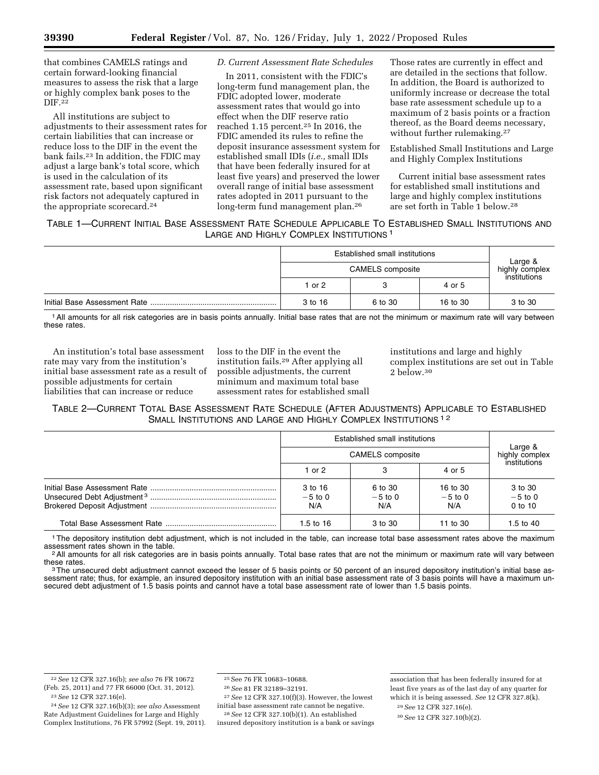that combines CAMELS ratings and certain forward-looking financial measures to assess the risk that a large or highly complex bank poses to the DIF.22

All institutions are subject to adjustments to their assessment rates for certain liabilities that can increase or reduce loss to the DIF in the event the bank fails.23 In addition, the FDIC may adjust a large bank's total score, which is used in the calculation of its assessment rate, based upon significant risk factors not adequately captured in the appropriate scorecard.24

## *D. Current Assessment Rate Schedules*

In 2011, consistent with the FDIC's long-term fund management plan, the FDIC adopted lower, moderate assessment rates that would go into effect when the DIF reserve ratio reached 1.15 percent.25 In 2016, the FDIC amended its rules to refine the deposit insurance assessment system for established small IDIs (*i.e.,* small IDIs that have been federally insured for at least five years) and preserved the lower overall range of initial base assessment rates adopted in 2011 pursuant to the long-term fund management plan.26

Those rates are currently in effect and are detailed in the sections that follow. In addition, the Board is authorized to uniformly increase or decrease the total base rate assessment schedule up to a maximum of 2 basis points or a fraction thereof, as the Board deems necessary, without further rulemaking.<sup>27</sup>

Established Small Institutions and Large and Highly Complex Institutions

Current initial base assessment rates for established small institutions and large and highly complex institutions are set forth in Table 1 below.28

## TABLE 1—CURRENT INITIAL BASE ASSESSMENT RATE SCHEDULE APPLICABLE TO ESTABLISHED SMALL INSTITUTIONS AND LARGE AND HIGHLY COMPLEX INSTITUTIONS 1

|  | Established small institutions<br><b>CAMELS</b> composite |         |          |                           |
|--|-----------------------------------------------------------|---------|----------|---------------------------|
|  |                                                           |         |          | Large &<br>highly complex |
|  | 1 or 2                                                    |         | 4 or 5   | institutions              |
|  | 3 to 16                                                   | 6 to 30 | 16 to 30 | 3 to 30                   |

1All amounts for all risk categories are in basis points annually. Initial base rates that are not the minimum or maximum rate will vary between these rates.

An institution's total base assessment rate may vary from the institution's initial base assessment rate as a result of possible adjustments for certain liabilities that can increase or reduce

loss to the DIF in the event the institution fails.29 After applying all possible adjustments, the current minimum and maximum total base assessment rates for established small institutions and large and highly complex institutions are set out in Table  $2$  below.<sup>30</sup>

## TABLE 2—CURRENT TOTAL BASE ASSESSMENT RATE SCHEDULE (AFTER ADJUSTMENTS) APPLICABLE TO ESTABLISHED SMALL INSTITUTIONS AND LARGE AND HIGHLY COMPLEX INSTITUTIONS<sup>12</sup>

|  | Established small institutions<br><b>CAMELS</b> composite |                             |                              |                                   |  |
|--|-----------------------------------------------------------|-----------------------------|------------------------------|-----------------------------------|--|
|  |                                                           |                             |                              | Large &<br>highly complex         |  |
|  | 1 or 2                                                    | з                           | 4 or 5                       | institutions                      |  |
|  | 3 to 16<br>$-5$ to 0<br>N/A                               | 6 to 30<br>$-5$ to 0<br>N/A | 16 to 30<br>$-5$ to 0<br>N/A | 3 to 30<br>$-5$ to 0<br>$0$ to 10 |  |
|  | 1.5 to $16$                                               | 3 to 30                     | 11 to 30                     | 1.5 to $40^{\circ}$               |  |

<sup>1</sup>The depository institution debt adjustment, which is not included in the table, can increase total base assessment rates above the maximum assessment rates shown in the table.

 $2$  All amounts for all risk categories are in basis points annually. Total base rates that are not the minimum or maximum rate will vary between these rates.

<sup>3</sup>The unsecured debt adjustment cannot exceed the lesser of 5 basis points or 50 percent of an insured depository institution's initial base assessment rate; thus, for example, an insured depository institution with an initial base assessment rate of 3 basis points will have a maximum unsecured debt adjustment of 1.5 basis points and cannot have a total base assessment rate of lower than 1.5 basis points.

27*See* 12 CFR 327.10(f)(3). However, the lowest initial base assessment rate cannot be negative.

28*See* 12 CFR 327.10(b)(1). An established insured depository institution is a bank or savings association that has been federally insured for at least five years as of the last day of any quarter for which it is being assessed. *See* 12 CFR 327.8(k).

<sup>22</sup>*See* 12 CFR 327.16(b); *see also* 76 FR 10672 (Feb. 25, 2011) and 77 FR 66000 (Oct. 31, 2012). 23*See* 12 CFR 327.16(e).

<sup>24</sup>*See* 12 CFR 327.16(b)(3); *see also* Assessment Rate Adjustment Guidelines for Large and Highly Complex Institutions, 76 FR 57992 (Sept. 19, 2011).

<sup>25</sup>See 76 FR 10683–10688.

<sup>26</sup>*See* 81 FR 32189–32191.

<sup>29</sup>*See* 12 CFR 327.16(e).

<sup>30</sup>*See* 12 CFR 327.10(b)(2).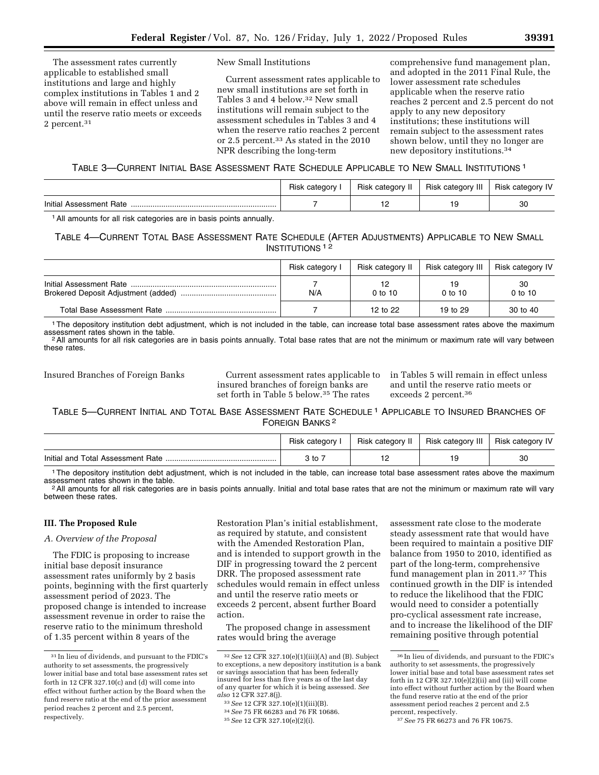The assessment rates currently applicable to established small institutions and large and highly complex institutions in Tables 1 and 2 above will remain in effect unless and until the reserve ratio meets or exceeds 2 percent.31

#### New Small Institutions

Current assessment rates applicable to new small institutions are set forth in Tables 3 and 4 below.32 New small institutions will remain subject to the assessment schedules in Tables 3 and 4 when the reserve ratio reaches 2 percent or 2.5 percent.33 As stated in the 2010 NPR describing the long-term

comprehensive fund management plan, and adopted in the 2011 Final Rule, the lower assessment rate schedules applicable when the reserve ratio reaches 2 percent and 2.5 percent do not apply to any new depository institutions; these institutions will remain subject to the assessment rates shown below, until they no longer are new depository institutions.34

## TABLE 3—CURRENT INITIAL BASE ASSESSMENT RATE SCHEDULE APPLICABLE TO NEW SMALL INSTITUTIONS 1

|                              | Ö.<br>HISN | Hisk<br>ratarini | <br>Risl<br>Ш<br>categorv | $\cdots$<br>ے تمارے<br>۱۱۵۴ |
|------------------------------|------------|------------------|---------------------------|-----------------------------|
| Initial<br>Rate<br>ment<br>. |            | $-$              | 19                        | 30                          |

1All amounts for all risk categories are in basis points annually.

## TABLE 4—CURRENT TOTAL BASE ASSESSMENT RATE SCHEDULE (AFTER ADJUSTMENTS) APPLICABLE TO NEW SMALL INSTITUTIONS 1 2

| Risk category I | Risk category II | Risk category III   Risk category IV |                 |
|-----------------|------------------|--------------------------------------|-----------------|
| N/A             | $0$ to 10        | $0$ to 10                            | 30<br>$0$ to 10 |
|                 | 12 to 22         | 19 to 29                             | 30 to 40        |

<sup>1</sup>The depository institution debt adjustment, which is not included in the table, can increase total base assessment rates above the maximum assessment rates shown in the table.

<sup>2</sup> All amounts for all risk categories are in basis points annually. Total base rates that are not the minimum or maximum rate will vary between these rates.

Insured Branches of Foreign Banks Current assessment rates applicable to insured branches of foreign banks are set forth in Table 5 below.35 The rates

in Tables 5 will remain in effect unless and until the reserve ratio meets or exceeds 2 percent.36

## TABLE 5—CURRENT INITIAL AND TOTAL BASE ASSESSMENT RATE SCHEDULE 1 APPLICABLE TO INSURED BRANCHES OF FOREIGN BANKS 2

|                                   | Risk category I | Risk category II | Risk category III | <b>Risk category IV</b> |
|-----------------------------------|-----------------|------------------|-------------------|-------------------------|
| Initial and Total Assessment Rate | ֿo to           |                  |                   | ЗС                      |

<sup>1</sup> The depository institution debt adjustment, which is not included in the table, can increase total base assessment rates above the maximum assessment rates shown in the table.

 $^2$  All amounts for all risk categories are in basis points annually. Initial and total base rates that are not the minimum or maximum rate will vary between these rates.

## **III. The Proposed Rule**

## *A. Overview of the Proposal*

The FDIC is proposing to increase initial base deposit insurance assessment rates uniformly by 2 basis points, beginning with the first quarterly assessment period of 2023. The proposed change is intended to increase assessment revenue in order to raise the reserve ratio to the minimum threshold of 1.35 percent within 8 years of the

Restoration Plan's initial establishment, as required by statute, and consistent with the Amended Restoration Plan, and is intended to support growth in the DIF in progressing toward the 2 percent DRR. The proposed assessment rate schedules would remain in effect unless and until the reserve ratio meets or exceeds 2 percent, absent further Board action.

The proposed change in assessment rates would bring the average

32*See* 12 CFR 327.10(e)(1)(iii)(A) and (B). Subject to exceptions, a new depository institution is a bank or savings association that has been federally insured for less than five years as of the last day of any quarter for which it is being assessed. *See* 

- 
- *also* 12 CFR 327.8(j). 33*See* 12 CFR 327.10(e)(1)(iii)(B). 34*See* 75 FR 66283 and 76 FR 10686. 35*See* 12 CFR 327.10(e)(2)(i).

assessment rate close to the moderate steady assessment rate that would have been required to maintain a positive DIF balance from 1950 to 2010, identified as part of the long-term, comprehensive fund management plan in 2011.37 This continued growth in the DIF is intended to reduce the likelihood that the FDIC would need to consider a potentially pro-cyclical assessment rate increase, and to increase the likelihood of the DIF remaining positive through potential

<sup>31</sup> In lieu of dividends, and pursuant to the FDIC's authority to set assessments, the progressively lower initial base and total base assessment rates set forth in 12 CFR 327.10(c) and (d) will come into effect without further action by the Board when the fund reserve ratio at the end of the prior assessment period reaches 2 percent and 2.5 percent, respectively.

<sup>36</sup> In lieu of dividends, and pursuant to the FDIC's authority to set assessments, the progressively lower initial base and total base assessment rates set forth in 12 CFR 327.10(e)(2)(ii) and (iii) will come into effect without further action by the Board when the fund reserve ratio at the end of the prior assessment period reaches 2 percent and 2.5 percent, respectively.

<sup>37</sup>*See* 75 FR 66273 and 76 FR 10675.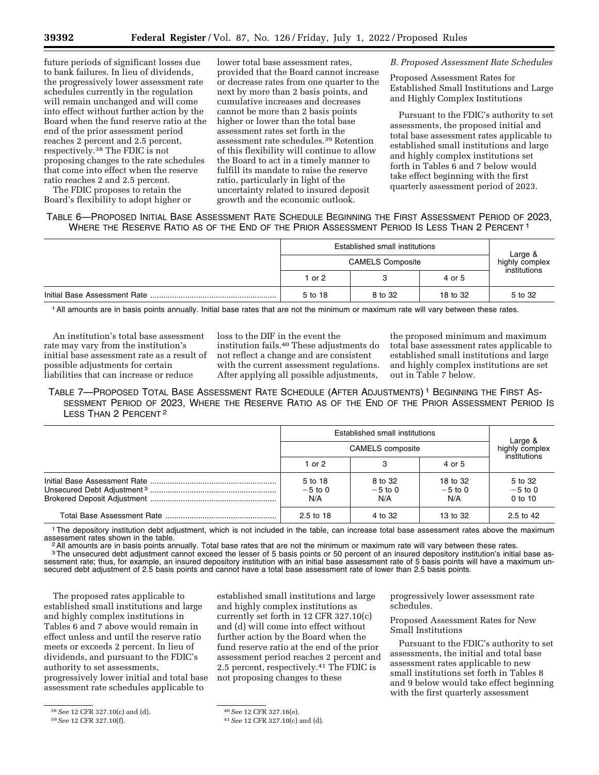future periods of significant losses due to bank failures. In lieu of dividends, the progressively lower assessment rate schedules currently in the regulation will remain unchanged and will come into effect without further action by the Board when the fund reserve ratio at the end of the prior assessment period reaches 2 percent and 2.5 percent, respectively.38 The FDIC is not proposing changes to the rate schedules that come into effect when the reserve ratio reaches 2 and 2.5 percent.

The FDIC proposes to retain the Board's flexibility to adopt higher or

lower total base assessment rates, provided that the Board cannot increase or decrease rates from one quarter to the next by more than 2 basis points, and cumulative increases and decreases cannot be more than 2 basis points higher or lower than the total base assessment rates set forth in the assessment rate schedules.39 Retention of this flexibility will continue to allow the Board to act in a timely manner to fulfill its mandate to raise the reserve ratio, particularly in light of the uncertainty related to insured deposit growth and the economic outlook.

*B. Proposed Assessment Rate Schedules* 

Proposed Assessment Rates for Established Small Institutions and Large and Highly Complex Institutions

Pursuant to the FDIC's authority to set assessments, the proposed initial and total base assessment rates applicable to established small institutions and large and highly complex institutions set forth in Tables 6 and 7 below would take effect beginning with the first quarterly assessment period of 2023.

TABLE 6—PROPOSED INITIAL BASE ASSESSMENT RATE SCHEDULE BEGINNING THE FIRST ASSESSMENT PERIOD OF 2023, WHERE THE RESERVE RATIO AS OF THE END OF THE PRIOR ASSESSMENT PERIOD IS LESS THAN 2 PERCENT 1

|  | Established small institutions<br><b>CAMELS Composite</b> |         |          | Large &<br>highly complex<br>institutions |
|--|-----------------------------------------------------------|---------|----------|-------------------------------------------|
|  |                                                           |         |          |                                           |
|  | l or 2                                                    |         | 4 or 5   |                                           |
|  | 5 to 18                                                   | 8 to 32 | 18 to 32 | 5 to 32                                   |

1All amounts are in basis points annually. Initial base rates that are not the minimum or maximum rate will vary between these rates.

An institution's total base assessment rate may vary from the institution's initial base assessment rate as a result of possible adjustments for certain liabilities that can increase or reduce

loss to the DIF in the event the institution fails.40 These adjustments do not reflect a change and are consistent with the current assessment regulations. After applying all possible adjustments,

the proposed minimum and maximum total base assessment rates applicable to established small institutions and large and highly complex institutions are set out in Table 7 below.

TABLE 7—PROPOSED TOTAL BASE ASSESSMENT RATE SCHEDULE (AFTER ADJUSTMENTS) 1 BEGINNING THE FIRST AS-SESSMENT PERIOD OF 2023, WHERE THE RESERVE RATIO AS OF THE END OF THE PRIOR ASSESSMENT PERIOD IS LESS THAN 2 PERCENT<sup>2</sup>

|  | Established small institutions<br><b>CAMELS</b> composite |                             |                              | Large &<br>highly complex         |
|--|-----------------------------------------------------------|-----------------------------|------------------------------|-----------------------------------|
|  |                                                           |                             |                              |                                   |
|  | 1 or $2$                                                  | 3                           | 4 or 5                       | institutions                      |
|  | 5 to 18<br>$-5$ to 0<br>N/A                               | 8 to 32<br>$-5$ to 0<br>N/A | 18 to 32<br>$-5$ to 0<br>N/A | 5 to 32<br>$-5$ to 0<br>$0$ to 10 |
|  | $2.5 \text{ to } 18$                                      | 4 to 32                     | 13 to 32                     | 2.5 to 42                         |

<sup>1</sup>The depository institution debt adjustment, which is not included in the table, can increase total base assessment rates above the maximum assessment rates shown in the table.

<sup>2</sup> All amounts are in basis points annually. Total base rates that are not the minimum or maximum rate will vary between these rates.<br><sup>3</sup> The unsecured debt adjustment cannot exceed the lesser of 5 basis points or 50 perc sessment rate; thus, for example, an insured depository institution with an initial base assessment rate of 5 basis points will have a maximum unsecured debt adjustment of 2.5 basis points and cannot have a total base assessment rate of lower than 2.5 basis points.

The proposed rates applicable to established small institutions and large and highly complex institutions in Tables 6 and 7 above would remain in effect unless and until the reserve ratio meets or exceeds 2 percent. In lieu of dividends, and pursuant to the FDIC's authority to set assessments, progressively lower initial and total base assessment rate schedules applicable to

38*See* 12 CFR 327.10(c) and (d).

established small institutions and large and highly complex institutions as currently set forth in 12 CFR 327.10(c) and (d) will come into effect without further action by the Board when the fund reserve ratio at the end of the prior assessment period reaches 2 percent and 2.5 percent, respectively.41 The FDIC is not proposing changes to these

progressively lower assessment rate schedules.

Proposed Assessment Rates for New Small Institutions

Pursuant to the FDIC's authority to set assessments, the initial and total base assessment rates applicable to new small institutions set forth in Tables 8 and 9 below would take effect beginning with the first quarterly assessment

<sup>39</sup>*See* 12 CFR 327.10(f).

<sup>40</sup>*See* 12 CFR 327.16(e).

<sup>41</sup>*See* 12 CFR 327.10(c) and (d).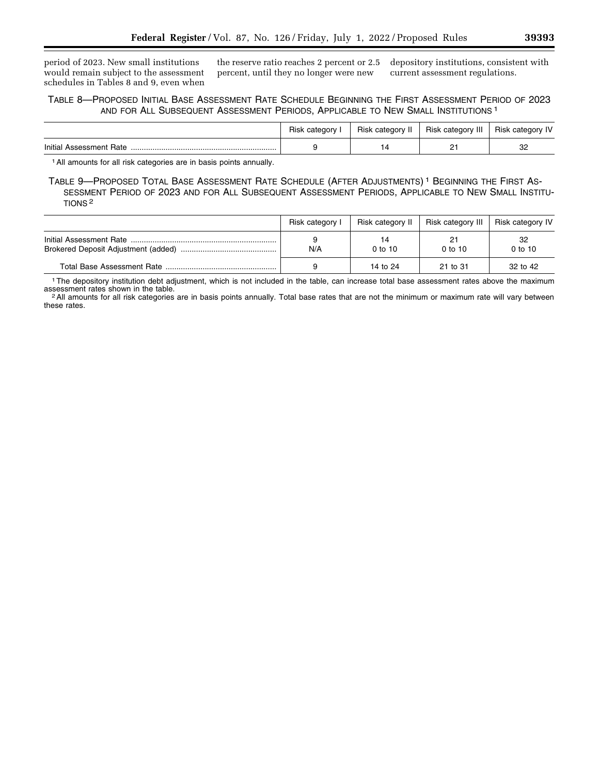period of 2023. New small institutions would remain subject to the assessment schedules in Tables 8 and 9, even when the reserve ratio reaches 2 percent or 2.5 percent, until they no longer were new

depository institutions, consistent with current assessment regulations.

## TABLE 8—PROPOSED INITIAL BASE ASSESSMENT RATE SCHEDULE BEGINNING THE FIRST ASSESSMENT PERIOD OF 2023 AND FOR ALL SUBSEQUENT ASSESSMENT PERIODS, APPLICABLE TO NEW SMALL INSTITUTIONS 1

|                         | Risk category | Risk category II | Risk category III | Risk category IV |
|-------------------------|---------------|------------------|-------------------|------------------|
| Initial Assessment Rate |               |                  | <u>_</u>          | nr               |

1All amounts for all risk categories are in basis points annually.

TABLE 9—PROPOSED TOTAL BASE ASSESSMENT RATE SCHEDULE (AFTER ADJUSTMENTS) 1 BEGINNING THE FIRST AS-SESSMENT PERIOD OF 2023 AND FOR ALL SUBSEQUENT ASSESSMENT PERIODS, APPLICABLE TO NEW SMALL INSTITU-TIONS 2

|                            | Risk category I | Risk category II | Risk category III | Risk category IV |
|----------------------------|-----------------|------------------|-------------------|------------------|
|                            | N/A             | 14<br>$0$ to 10  | 21<br>$0$ to $10$ | 32<br>$0$ to 10  |
| Total Base Assessment Rate |                 | 14 to 24         | 21 to 31          | 32 to 42         |

<sup>1</sup>The depository institution debt adjustment, which is not included in the table, can increase total base assessment rates above the maximum assessment rates shown in the table.

<sup>2</sup> All amounts for all risk categories are in basis points annually. Total base rates that are not the minimum or maximum rate will vary between these rates.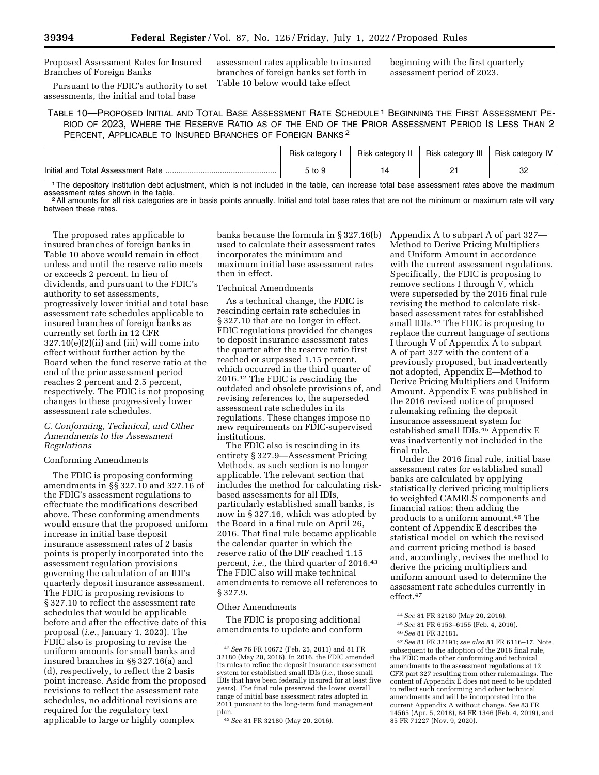Proposed Assessment Rates for Insured Branches of Foreign Banks

Pursuant to the FDIC's authority to set assessments, the initial and total base

assessment rates applicable to insured branches of foreign banks set forth in Table 10 below would take effect

beginning with the first quarterly assessment period of 2023.

TABLE 10—PROPOSED INITIAL AND TOTAL BASE ASSESSMENT RATE SCHEDULE 1 BEGINNING THE FIRST ASSESSMENT PE-RIOD OF 2023, WHERE THE RESERVE RATIO AS OF THE END OF THE PRIOR ASSESSMENT PERIOD IS LESS THAN 2 PERCENT, APPLICABLE TO INSURED BRANCHES OF FOREIGN BANKS 2

|                                   | category<br>Hisk | Risk category II | Risk category III | Risk category IV |
|-----------------------------------|------------------|------------------|-------------------|------------------|
| Initial and Total Assessment Rate | , to 9           |                  | <u>_</u>          | o٢<br>ےں         |

<sup>1</sup>The depository institution debt adjustment, which is not included in the table, can increase total base assessment rates above the maximum assessment rates shown in the table.

<sup>2</sup>All amounts for all risk categories are in basis points annually. Initial and total base rates that are not the minimum or maximum rate will vary between these rates.

The proposed rates applicable to insured branches of foreign banks in Table 10 above would remain in effect unless and until the reserve ratio meets or exceeds 2 percent. In lieu of dividends, and pursuant to the FDIC's authority to set assessments, progressively lower initial and total base assessment rate schedules applicable to insured branches of foreign banks as currently set forth in 12 CFR 327.10(e)(2)(ii) and (iii) will come into effect without further action by the Board when the fund reserve ratio at the end of the prior assessment period reaches 2 percent and 2.5 percent, respectively. The FDIC is not proposing changes to these progressively lower assessment rate schedules.

## *C. Conforming, Technical, and Other Amendments to the Assessment Regulations*

#### Conforming Amendments

The FDIC is proposing conforming amendments in §§ 327.10 and 327.16 of the FDIC's assessment regulations to effectuate the modifications described above. These conforming amendments would ensure that the proposed uniform increase in initial base deposit insurance assessment rates of 2 basis points is properly incorporated into the assessment regulation provisions governing the calculation of an IDI's quarterly deposit insurance assessment. The FDIC is proposing revisions to § 327.10 to reflect the assessment rate schedules that would be applicable before and after the effective date of this proposal (*i.e.,* January 1, 2023). The FDIC also is proposing to revise the uniform amounts for small banks and insured branches in §§ 327.16(a) and (d), respectively, to reflect the 2 basis point increase. Aside from the proposed revisions to reflect the assessment rate schedules, no additional revisions are required for the regulatory text applicable to large or highly complex

banks because the formula in § 327.16(b) used to calculate their assessment rates incorporates the minimum and maximum initial base assessment rates then in effect.

#### Technical Amendments

As a technical change, the FDIC is rescinding certain rate schedules in § 327.10 that are no longer in effect. FDIC regulations provided for changes to deposit insurance assessment rates the quarter after the reserve ratio first reached or surpassed 1.15 percent, which occurred in the third quarter of 2016.42 The FDIC is rescinding the outdated and obsolete provisions of, and revising references to, the superseded assessment rate schedules in its regulations. These changes impose no new requirements on FDIC-supervised institutions.

The FDIC also is rescinding in its entirety § 327.9—Assessment Pricing Methods, as such section is no longer applicable. The relevant section that includes the method for calculating riskbased assessments for all IDIs, particularly established small banks, is now in § 327.16, which was adopted by the Board in a final rule on April 26, 2016. That final rule became applicable the calendar quarter in which the reserve ratio of the DIF reached 1.15 percent, *i.e.*, the third quarter of 2016.<sup>43</sup> The FDIC also will make technical amendments to remove all references to § 327.9.

#### Other Amendments

The FDIC is proposing additional amendments to update and conform Appendix A to subpart A of part 327— Method to Derive Pricing Multipliers and Uniform Amount in accordance with the current assessment regulations. Specifically, the FDIC is proposing to remove sections I through V, which were superseded by the 2016 final rule revising the method to calculate riskbased assessment rates for established small IDIs.44 The FDIC is proposing to replace the current language of sections I through V of Appendix A to subpart A of part 327 with the content of a previously proposed, but inadvertently not adopted, Appendix E—Method to Derive Pricing Multipliers and Uniform Amount. Appendix E was published in the 2016 revised notice of proposed rulemaking refining the deposit insurance assessment system for established small IDIs.45 Appendix E was inadvertently not included in the final rule.

Under the 2016 final rule, initial base assessment rates for established small banks are calculated by applying statistically derived pricing multipliers to weighted CAMELS components and financial ratios; then adding the products to a uniform amount.46 The content of Appendix E describes the statistical model on which the revised and current pricing method is based and, accordingly, revises the method to derive the pricing multipliers and uniform amount used to determine the assessment rate schedules currently in effect.47

47*See* 81 FR 32191; *see also* 81 FR 6116–17. Note, subsequent to the adoption of the 2016 final rule, the FDIC made other conforming and technical amendments to the assessment regulations at 12 CFR part 327 resulting from other rulemakings. The content of Appendix E does not need to be updated to reflect such conforming and other technical amendments and will be incorporated into the current Appendix A without change. *See* 83 FR 14565 (Apr. 5, 2018), 84 FR 1346 (Feb. 4, 2019), and 85 FR 71227 (Nov. 9, 2020).

<sup>42</sup>*See* 76 FR 10672 (Feb. 25, 2011) and 81 FR 32180 (May 20, 2016). In 2016, the FDIC amended its rules to refine the deposit insurance assessment system for established small IDIs (*i.e.,* those small IDIs that have been federally insured for at least five years). The final rule preserved the lower overall range of initial base assessment rates adopted in 2011 pursuant to the long-term fund management plan.

<sup>43</sup>*See* 81 FR 32180 (May 20, 2016).

<sup>44</sup>*See* 81 FR 32180 (May 20, 2016).

<sup>45</sup>*See* 81 FR 6153–6155 (Feb. 4, 2016).

<sup>46</sup>*See* 81 FR 32181.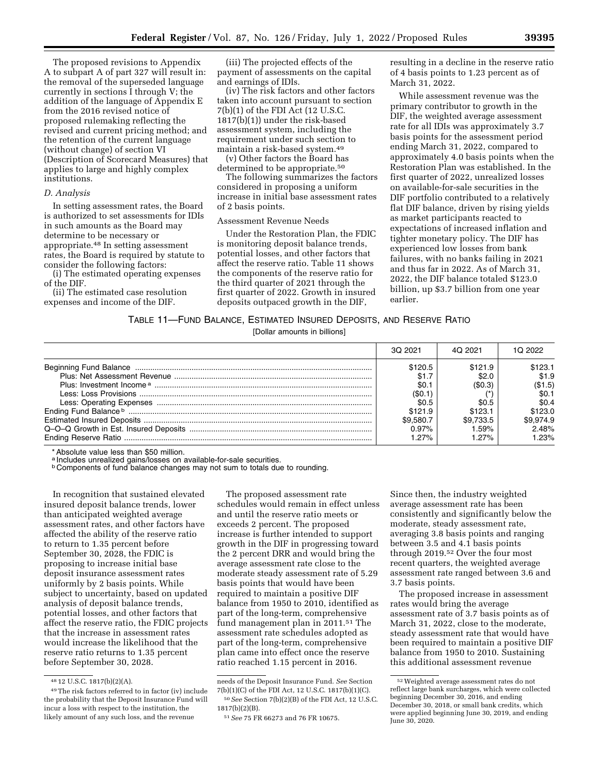The proposed revisions to Appendix A to subpart A of part 327 will result in: the removal of the superseded language currently in sections I through V; the addition of the language of Appendix E from the 2016 revised notice of proposed rulemaking reflecting the revised and current pricing method; and the retention of the current language (without change) of section VI (Description of Scorecard Measures) that applies to large and highly complex institutions.

#### *D. Analysis*

In setting assessment rates, the Board is authorized to set assessments for IDIs in such amounts as the Board may determine to be necessary or appropriate.48 In setting assessment rates, the Board is required by statute to consider the following factors:

(i) The estimated operating expenses of the DIF.

(ii) The estimated case resolution expenses and income of the DIF.

(iii) The projected effects of the payment of assessments on the capital and earnings of IDIs.

(iv) The risk factors and other factors taken into account pursuant to section 7(b)(1) of the FDI Act (12 U.S.C. 1817(b)(1)) under the risk-based assessment system, including the requirement under such section to maintain a risk-based system.49

(v) Other factors the Board has determined to be appropriate.<sup>50</sup>

The following summarizes the factors considered in proposing a uniform increase in initial base assessment rates of 2 basis points.

## Assessment Revenue Needs

Under the Restoration Plan, the FDIC is monitoring deposit balance trends, potential losses, and other factors that affect the reserve ratio. Table 11 shows the components of the reserve ratio for the third quarter of 2021 through the first quarter of 2022. Growth in insured deposits outpaced growth in the DIF,

resulting in a decline in the reserve ratio of 4 basis points to 1.23 percent as of March 31, 2022.

While assessment revenue was the primary contributor to growth in the DIF, the weighted average assessment rate for all IDIs was approximately 3.7 basis points for the assessment period ending March 31, 2022, compared to approximately 4.0 basis points when the Restoration Plan was established. In the first quarter of 2022, unrealized losses on available-for-sale securities in the DIF portfolio contributed to a relatively flat DIF balance, driven by rising yields as market participants reacted to expectations of increased inflation and tighter monetary policy. The DIF has experienced low losses from bank failures, with no banks failing in 2021 and thus far in 2022. As of March 31, 2022, the DIF balance totaled \$123.0 billion, up \$3.7 billion from one year earlier.

#### TABLE 11—FUND BALANCE, ESTIMATED INSURED DEPOSITS, AND RESERVE RATIO

[Dollar amounts in billions]

| 3Q 2021   | 4Q 2021   | 1Q 2022   |
|-----------|-----------|-----------|
| \$120.5   | \$121.9   | \$123.1   |
| \$1.7     | \$2.c     | \$1.9     |
| \$0.1     | (\$0.3)   | (\$1.5)   |
| (\$0.1    |           | \$0.1     |
| \$0.5     | \$0.5     | \$0.4     |
| \$121.9   | \$123.1   | \$123.0   |
| \$9.580.7 | \$9.733.5 | \$9.974.9 |
| $0.97\%$  | 1.59%     | 2.48%     |
| 1.27%     | 1.27%     | 1.23%     |

\* Absolute value less than \$50 million.

a Includes unrealized gains/losses on available-for-sale securities.

**b Components of fund balance changes may not sum to totals due to rounding.** 

In recognition that sustained elevated insured deposit balance trends, lower than anticipated weighted average assessment rates, and other factors have affected the ability of the reserve ratio to return to 1.35 percent before September 30, 2028, the FDIC is proposing to increase initial base deposit insurance assessment rates uniformly by 2 basis points. While subject to uncertainty, based on updated analysis of deposit balance trends, potential losses, and other factors that affect the reserve ratio, the FDIC projects that the increase in assessment rates would increase the likelihood that the reserve ratio returns to 1.35 percent before September 30, 2028.

The proposed assessment rate schedules would remain in effect unless and until the reserve ratio meets or exceeds 2 percent. The proposed increase is further intended to support growth in the DIF in progressing toward the 2 percent DRR and would bring the average assessment rate close to the moderate steady assessment rate of 5.29 basis points that would have been required to maintain a positive DIF balance from 1950 to 2010, identified as part of the long-term, comprehensive fund management plan in 2011.51 The assessment rate schedules adopted as part of the long-term, comprehensive plan came into effect once the reserve ratio reached 1.15 percent in 2016.

Since then, the industry weighted average assessment rate has been consistently and significantly below the moderate, steady assessment rate, averaging 3.8 basis points and ranging between 3.5 and 4.1 basis points through 2019.52 Over the four most recent quarters, the weighted average assessment rate ranged between 3.6 and 3.7 basis points.

The proposed increase in assessment rates would bring the average assessment rate of 3.7 basis points as of March 31, 2022, close to the moderate, steady assessment rate that would have been required to maintain a positive DIF balance from 1950 to 2010. Sustaining this additional assessment revenue

<sup>48</sup> 12 U.S.C. 1817(b)(2)(A).

<sup>49</sup>The risk factors referred to in factor (iv) include the probability that the Deposit Insurance Fund will incur a loss with respect to the institution, the likely amount of any such loss, and the revenue

needs of the Deposit Insurance Fund. *See* Section 7(b)(1)(C) of the FDI Act, 12 U.S.C. 1817(b)(1)(C). 50*See* Section 7(b)(2)(B) of the FDI Act, 12 U.S.C.

<sup>1817(</sup>b)(2)(B).

<sup>51</sup>*See* 75 FR 66273 and 76 FR 10675.

<sup>52</sup>Weighted average assessment rates do not reflect large bank surcharges, which were collected beginning December 30, 2016, and ending December 30, 2018, or small bank credits, which were applied beginning June 30, 2019, and ending June 30, 2020.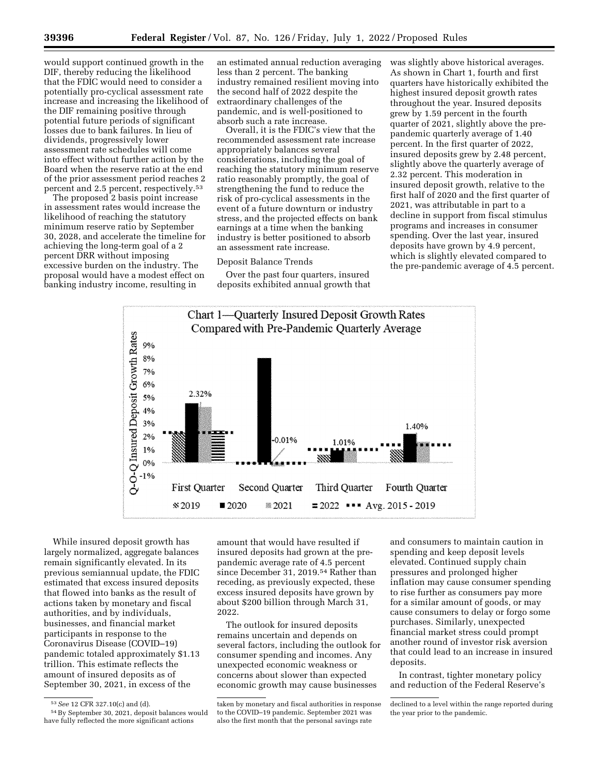would support continued growth in the DIF, thereby reducing the likelihood that the FDIC would need to consider a potentially pro-cyclical assessment rate increase and increasing the likelihood of the DIF remaining positive through potential future periods of significant losses due to bank failures. In lieu of dividends, progressively lower assessment rate schedules will come into effect without further action by the Board when the reserve ratio at the end of the prior assessment period reaches 2 percent and 2.5 percent, respectively.53

The proposed 2 basis point increase in assessment rates would increase the likelihood of reaching the statutory minimum reserve ratio by September 30, 2028, and accelerate the timeline for achieving the long-term goal of a 2 percent DRR without imposing excessive burden on the industry. The proposal would have a modest effect on banking industry income, resulting in

an estimated annual reduction averaging less than 2 percent. The banking industry remained resilient moving into the second half of 2022 despite the extraordinary challenges of the pandemic, and is well-positioned to absorb such a rate increase.

Overall, it is the FDIC's view that the recommended assessment rate increase appropriately balances several considerations, including the goal of reaching the statutory minimum reserve ratio reasonably promptly, the goal of strengthening the fund to reduce the risk of pro-cyclical assessments in the event of a future downturn or industry stress, and the projected effects on bank earnings at a time when the banking industry is better positioned to absorb an assessment rate increase.

## Deposit Balance Trends

Over the past four quarters, insured deposits exhibited annual growth that was slightly above historical averages. As shown in Chart 1, fourth and first quarters have historically exhibited the highest insured deposit growth rates throughout the year. Insured deposits grew by 1.59 percent in the fourth quarter of 2021, slightly above the prepandemic quarterly average of 1.40 percent. In the first quarter of 2022, insured deposits grew by 2.48 percent, slightly above the quarterly average of 2.32 percent. This moderation in insured deposit growth, relative to the first half of 2020 and the first quarter of 2021, was attributable in part to a decline in support from fiscal stimulus programs and increases in consumer spending. Over the last year, insured deposits have grown by 4.9 percent, which is slightly elevated compared to the pre-pandemic average of 4.5 percent.



While insured deposit growth has largely normalized, aggregate balances remain significantly elevated. In its previous semiannual update, the FDIC estimated that excess insured deposits that flowed into banks as the result of actions taken by monetary and fiscal authorities, and by individuals, businesses, and financial market participants in response to the Coronavirus Disease (COVID–19) pandemic totaled approximately \$1.13 trillion. This estimate reflects the amount of insured deposits as of September 30, 2021, in excess of the

amount that would have resulted if insured deposits had grown at the prepandemic average rate of 4.5 percent since December 31, 2019.54 Rather than receding, as previously expected, these excess insured deposits have grown by about \$200 billion through March 31, 2022.

The outlook for insured deposits remains uncertain and depends on several factors, including the outlook for consumer spending and incomes. Any unexpected economic weakness or concerns about slower than expected economic growth may cause businesses

and consumers to maintain caution in spending and keep deposit levels elevated. Continued supply chain pressures and prolonged higher inflation may cause consumer spending to rise further as consumers pay more for a similar amount of goods, or may cause consumers to delay or forgo some purchases. Similarly, unexpected financial market stress could prompt another round of investor risk aversion that could lead to an increase in insured deposits.

In contrast, tighter monetary policy and reduction of the Federal Reserve's

<sup>53</sup>*See* 12 CFR 327.10(c) and (d).

<sup>54</sup>By September 30, 2021, deposit balances would have fully reflected the more significant actions

taken by monetary and fiscal authorities in response to the COVID–19 pandemic. September 2021 was also the first month that the personal savings rate

declined to a level within the range reported during the year prior to the pandemic.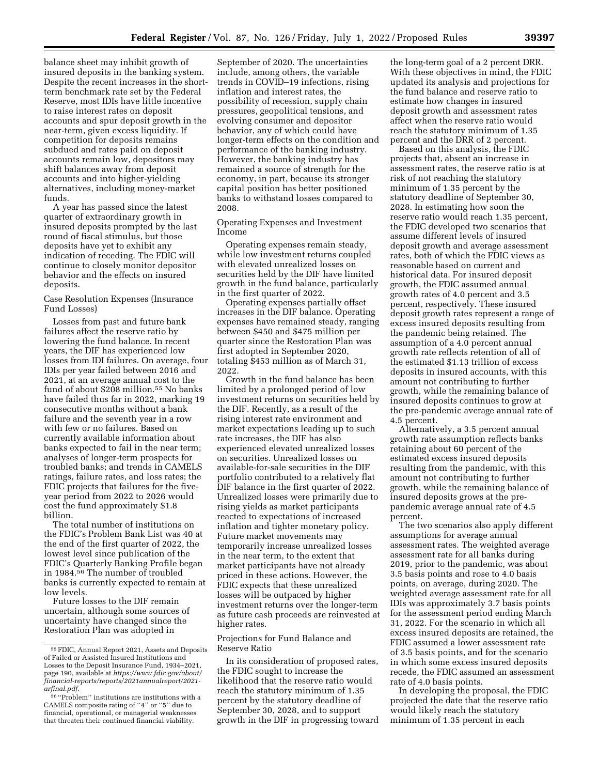balance sheet may inhibit growth of insured deposits in the banking system. Despite the recent increases in the shortterm benchmark rate set by the Federal Reserve, most IDIs have little incentive to raise interest rates on deposit accounts and spur deposit growth in the near-term, given excess liquidity. If competition for deposits remains subdued and rates paid on deposit accounts remain low, depositors may shift balances away from deposit accounts and into higher-yielding alternatives, including money-market funds.

A year has passed since the latest quarter of extraordinary growth in insured deposits prompted by the last round of fiscal stimulus, but those deposits have yet to exhibit any indication of receding. The FDIC will continue to closely monitor depositor behavior and the effects on insured deposits.

Case Resolution Expenses (Insurance Fund Losses)

Losses from past and future bank failures affect the reserve ratio by lowering the fund balance. In recent years, the DIF has experienced low losses from IDI failures. On average, four IDIs per year failed between 2016 and 2021, at an average annual cost to the fund of about \$208 million.55 No banks have failed thus far in 2022, marking 19 consecutive months without a bank failure and the seventh year in a row with few or no failures. Based on currently available information about banks expected to fail in the near term; analyses of longer-term prospects for troubled banks; and trends in CAMELS ratings, failure rates, and loss rates; the FDIC projects that failures for the fiveyear period from 2022 to 2026 would cost the fund approximately \$1.8 billion.

The total number of institutions on the FDIC's Problem Bank List was 40 at the end of the first quarter of 2022, the lowest level since publication of the FDIC's Quarterly Banking Profile began in 1984.56 The number of troubled banks is currently expected to remain at low levels.

Future losses to the DIF remain uncertain, although some sources of uncertainty have changed since the Restoration Plan was adopted in

September of 2020. The uncertainties include, among others, the variable trends in COVID–19 infections, rising inflation and interest rates, the possibility of recession, supply chain pressures, geopolitical tensions, and evolving consumer and depositor behavior, any of which could have longer-term effects on the condition and performance of the banking industry. However, the banking industry has remained a source of strength for the economy, in part, because its stronger capital position has better positioned banks to withstand losses compared to 2008.

Operating Expenses and Investment Income

Operating expenses remain steady, while low investment returns coupled with elevated unrealized losses on securities held by the DIF have limited growth in the fund balance, particularly in the first quarter of 2022.

Operating expenses partially offset increases in the DIF balance. Operating expenses have remained steady, ranging between \$450 and \$475 million per quarter since the Restoration Plan was first adopted in September 2020, totaling \$453 million as of March 31, 2022.

Growth in the fund balance has been limited by a prolonged period of low investment returns on securities held by the DIF. Recently, as a result of the rising interest rate environment and market expectations leading up to such rate increases, the DIF has also experienced elevated unrealized losses on securities. Unrealized losses on available-for-sale securities in the DIF portfolio contributed to a relatively flat DIF balance in the first quarter of 2022. Unrealized losses were primarily due to rising yields as market participants reacted to expectations of increased inflation and tighter monetary policy. Future market movements may temporarily increase unrealized losses in the near term, to the extent that market participants have not already priced in these actions. However, the FDIC expects that these unrealized losses will be outpaced by higher investment returns over the longer-term as future cash proceeds are reinvested at higher rates.

## Projections for Fund Balance and Reserve Ratio

In its consideration of proposed rates, the FDIC sought to increase the likelihood that the reserve ratio would reach the statutory minimum of 1.35 percent by the statutory deadline of September 30, 2028, and to support growth in the DIF in progressing toward

the long-term goal of a 2 percent DRR. With these objectives in mind, the FDIC updated its analysis and projections for the fund balance and reserve ratio to estimate how changes in insured deposit growth and assessment rates affect when the reserve ratio would reach the statutory minimum of 1.35 percent and the DRR of 2 percent.

Based on this analysis, the FDIC projects that, absent an increase in assessment rates, the reserve ratio is at risk of not reaching the statutory minimum of 1.35 percent by the statutory deadline of September 30, 2028. In estimating how soon the reserve ratio would reach 1.35 percent, the FDIC developed two scenarios that assume different levels of insured deposit growth and average assessment rates, both of which the FDIC views as reasonable based on current and historical data. For insured deposit growth, the FDIC assumed annual growth rates of 4.0 percent and 3.5 percent, respectively. These insured deposit growth rates represent a range of excess insured deposits resulting from the pandemic being retained. The assumption of a 4.0 percent annual growth rate reflects retention of all of the estimated \$1.13 trillion of excess deposits in insured accounts, with this amount not contributing to further growth, while the remaining balance of insured deposits continues to grow at the pre-pandemic average annual rate of 4.5 percent.

Alternatively, a 3.5 percent annual growth rate assumption reflects banks retaining about 60 percent of the estimated excess insured deposits resulting from the pandemic, with this amount not contributing to further growth, while the remaining balance of insured deposits grows at the prepandemic average annual rate of 4.5 percent.

The two scenarios also apply different assumptions for average annual assessment rates. The weighted average assessment rate for all banks during 2019, prior to the pandemic, was about 3.5 basis points and rose to 4.0 basis points, on average, during 2020. The weighted average assessment rate for all IDIs was approximately 3.7 basis points for the assessment period ending March 31, 2022. For the scenario in which all excess insured deposits are retained, the FDIC assumed a lower assessment rate of 3.5 basis points, and for the scenario in which some excess insured deposits recede, the FDIC assumed an assessment rate of 4.0 basis points.

In developing the proposal, the FDIC projected the date that the reserve ratio would likely reach the statutory minimum of 1.35 percent in each

<sup>55</sup>FDIC, Annual Report 2021, Assets and Deposits of Failed or Assisted Insured Institutions and Losses to the Deposit Insurance Fund, 1934–2021, page 190, available at *[https://www.fdic.gov/about/](https://www.fdic.gov/about/financial-reports/reports/2021annualreport/2021-arfinal.pdf) [financial-reports/reports/2021annualreport/2021](https://www.fdic.gov/about/financial-reports/reports/2021annualreport/2021-arfinal.pdf) [arfinal.pdf.](https://www.fdic.gov/about/financial-reports/reports/2021annualreport/2021-arfinal.pdf)* 

<sup>56</sup> ''Problem'' institutions are institutions with a CAMELS composite rating of ''4'' or ''5'' due to financial, operational, or managerial weaknesses that threaten their continued financial viability.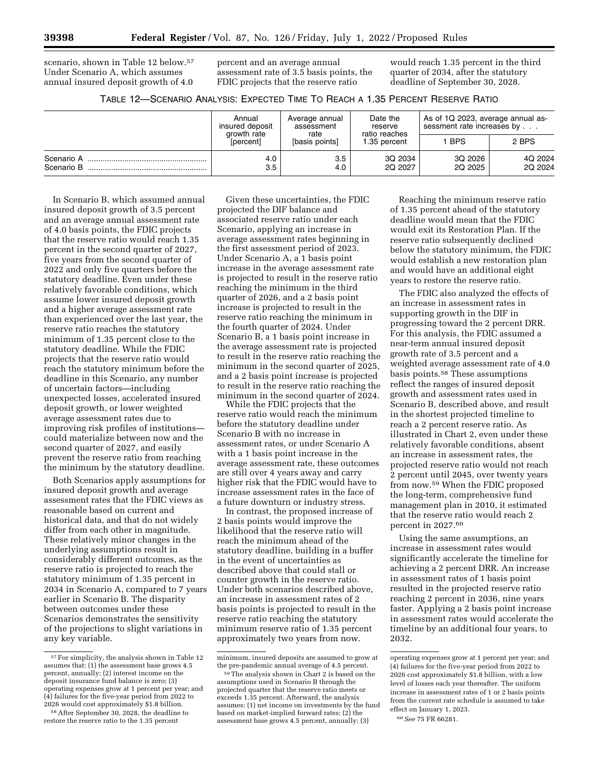scenario, shown in Table 12 below.57 Under Scenario A, which assumes annual insured deposit growth of 4.0 percent and an average annual assessment rate of 3.5 basis points, the FDIC projects that the reserve ratio

would reach 1.35 percent in the third quarter of 2034, after the statutory deadline of September 30, 2028.

TABLE 12—SCENARIO ANALYSIS: EXPECTED TIME TO REACH A 1.35 PERCENT RESERVE RATIO

|                          | Annual<br>insured deposit<br>growth rate | Average annual<br>assessment<br>rate | Date the<br>reserve<br>ratio reaches<br>1.35 percent | As of 1Q 2023, average annual as-<br>sessment rate increases by |                    |
|--------------------------|------------------------------------------|--------------------------------------|------------------------------------------------------|-----------------------------------------------------------------|--------------------|
|                          | <i><b>Sercent</b></i>                    | [basis points]                       |                                                      | <b>BPS</b>                                                      | 2 BPS              |
| Scenario A<br>Scenario B | 4.0<br>3.5                               | 3.5<br>4.0                           | 3Q 2034<br>2Q 2027                                   | 3Q 2026<br>2Q 2025                                              | 4Q 2024<br>2Q 2024 |

In Scenario B, which assumed annual insured deposit growth of 3.5 percent and an average annual assessment rate of 4.0 basis points, the FDIC projects that the reserve ratio would reach 1.35 percent in the second quarter of 2027, five years from the second quarter of 2022 and only five quarters before the statutory deadline. Even under these relatively favorable conditions, which assume lower insured deposit growth and a higher average assessment rate than experienced over the last year, the reserve ratio reaches the statutory minimum of 1.35 percent close to the statutory deadline. While the FDIC projects that the reserve ratio would reach the statutory minimum before the deadline in this Scenario, any number of uncertain factors—including unexpected losses, accelerated insured deposit growth, or lower weighted average assessment rates due to improving risk profiles of institutions could materialize between now and the second quarter of 2027, and easily prevent the reserve ratio from reaching the minimum by the statutory deadline.

Both Scenarios apply assumptions for insured deposit growth and average assessment rates that the FDIC views as reasonable based on current and historical data, and that do not widely differ from each other in magnitude. These relatively minor changes in the underlying assumptions result in considerably different outcomes, as the reserve ratio is projected to reach the statutory minimum of 1.35 percent in 2034 in Scenario A, compared to 7 years earlier in Scenario B. The disparity between outcomes under these Scenarios demonstrates the sensitivity of the projections to slight variations in any key variable.

Given these uncertainties, the FDIC projected the DIF balance and associated reserve ratio under each Scenario, applying an increase in average assessment rates beginning in the first assessment period of 2023. Under Scenario A, a 1 basis point increase in the average assessment rate is projected to result in the reserve ratio reaching the minimum in the third quarter of 2026, and a 2 basis point increase is projected to result in the reserve ratio reaching the minimum in the fourth quarter of 2024. Under Scenario B, a 1 basis point increase in the average assessment rate is projected to result in the reserve ratio reaching the minimum in the second quarter of 2025, and a 2 basis point increase is projected to result in the reserve ratio reaching the minimum in the second quarter of 2024.

While the FDIC projects that the reserve ratio would reach the minimum before the statutory deadline under Scenario B with no increase in assessment rates, or under Scenario A with a 1 basis point increase in the average assessment rate, these outcomes are still over 4 years away and carry higher risk that the FDIC would have to increase assessment rates in the face of a future downturn or industry stress.

In contrast, the proposed increase of 2 basis points would improve the likelihood that the reserve ratio will reach the minimum ahead of the statutory deadline, building in a buffer in the event of uncertainties as described above that could stall or counter growth in the reserve ratio. Under both scenarios described above, an increase in assessment rates of 2 basis points is projected to result in the reserve ratio reaching the statutory minimum reserve ratio of 1.35 percent approximately two years from now.

Reaching the minimum reserve ratio of 1.35 percent ahead of the statutory deadline would mean that the FDIC would exit its Restoration Plan. If the reserve ratio subsequently declined below the statutory minimum, the FDIC would establish a new restoration plan and would have an additional eight years to restore the reserve ratio.

The FDIC also analyzed the effects of an increase in assessment rates in supporting growth in the DIF in progressing toward the 2 percent DRR. For this analysis, the FDIC assumed a near-term annual insured deposit growth rate of 3.5 percent and a weighted average assessment rate of 4.0 basis points.58 These assumptions reflect the ranges of insured deposit growth and assessment rates used in Scenario B, described above, and result in the shortest projected timeline to reach a 2 percent reserve ratio. As illustrated in Chart 2, even under these relatively favorable conditions, absent an increase in assessment rates, the projected reserve ratio would not reach 2 percent until 2045, over twenty years from now.59 When the FDIC proposed the long-term, comprehensive fund management plan in 2010, it estimated that the reserve ratio would reach 2 percent in 2027.60

Using the same assumptions, an increase in assessment rates would significantly accelerate the timeline for achieving a 2 percent DRR. An increase in assessment rates of 1 basis point resulted in the projected reserve ratio reaching 2 percent in 2036, nine years faster. Applying a 2 basis point increase in assessment rates would accelerate the timeline by an additional four years, to 2032.

<sup>57</sup>For simplicity, the analysis shown in Table 12 assumes that: (1) the assessment base grows 4.5 percent, annually; (2) interest income on the deposit insurance fund balance is zero; (3) operating expenses grow at 1 percent per year; and (4) failures for the five-year period from 2022 to 2026 would cost approximately \$1.8 billion.

<sup>58</sup>After September 30, 2028, the deadline to restore the reserve ratio to the 1.35 percent

minimum, insured deposits are assumed to grow at the pre-pandemic annual average of 4.5 percent.

<sup>59</sup>The analysis shown in Chart 2 is based on the assumptions used in Scenario B through the projected quarter that the reserve ratio meets or exceeds 1.35 percent. Afterward, the analysis assumes: (1) net income on investments by the fund based on market-implied forward rates; (2) the assessment base grows 4.5 percent, annually; (3)

operating expenses grow at 1 percent per year; and (4) failures for the five-year period from 2022 to 2026 cost approximately \$1.8 billion, with a low level of losses each year thereafter. The uniform increase in assessment rates of 1 or 2 basis points from the current rate schedule is assumed to take effect on January 1, 2023.

<sup>60</sup>*See* 75 FR 66281.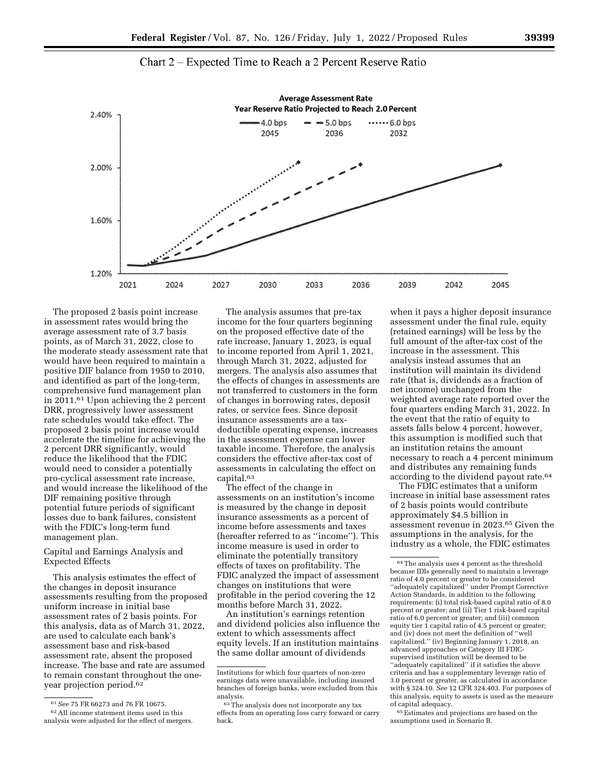

Chart 2 - Expected Time to Reach a 2 Percent Reserve Ratio

The proposed 2 basis point increase in assessment rates would bring the average assessment rate of 3.7 basis points, as of March 31, 2022, close to the moderate steady assessment rate that would have been required to maintain a positive DIF balance from 1950 to 2010, and identified as part of the long-term, comprehensive fund management plan in 2011.61 Upon achieving the 2 percent DRR, progressively lower assessment rate schedules would take effect. The proposed 2 basis point increase would accelerate the timeline for achieving the 2 percent DRR significantly, would reduce the likelihood that the FDIC would need to consider a potentially pro-cyclical assessment rate increase, and would increase the likelihood of the DIF remaining positive through potential future periods of significant losses due to bank failures, consistent with the FDIC's long-term fund management plan.

Capital and Earnings Analysis and Expected Effects

This analysis estimates the effect of the changes in deposit insurance assessments resulting from the proposed uniform increase in initial base assessment rates of 2 basis points. For this analysis, data as of March 31, 2022, are used to calculate each bank's assessment base and risk-based assessment rate, absent the proposed increase. The base and rate are assumed to remain constant throughout the oneyear projection period.62

The analysis assumes that pre-tax income for the four quarters beginning on the proposed effective date of the rate increase, January 1, 2023, is equal to income reported from April 1, 2021, through March 31, 2022, adjusted for mergers. The analysis also assumes that the effects of changes in assessments are not transferred to customers in the form of changes in borrowing rates, deposit rates, or service fees. Since deposit insurance assessments are a taxdeductible operating expense, increases in the assessment expense can lower taxable income. Therefore, the analysis considers the effective after-tax cost of assessments in calculating the effect on capital.63

The effect of the change in assessments on an institution's income is measured by the change in deposit insurance assessments as a percent of income before assessments and taxes (hereafter referred to as ''income''). This income measure is used in order to eliminate the potentially transitory effects of taxes on profitability. The FDIC analyzed the impact of assessment changes on institutions that were profitable in the period covering the 12 months before March 31, 2022.

An institution's earnings retention and dividend policies also influence the extent to which assessments affect equity levels. If an institution maintains the same dollar amount of dividends

when it pays a higher deposit insurance assessment under the final rule, equity (retained earnings) will be less by the full amount of the after-tax cost of the increase in the assessment. This analysis instead assumes that an institution will maintain its dividend rate (that is, dividends as a fraction of net income) unchanged from the weighted average rate reported over the four quarters ending March 31, 2022. In the event that the ratio of equity to assets falls below 4 percent, however, this assumption is modified such that an institution retains the amount necessary to reach a 4 percent minimum and distributes any remaining funds according to the dividend payout rate.64

The FDIC estimates that a uniform increase in initial base assessment rates of 2 basis points would contribute approximately \$4.5 billion in assessment revenue in 2023.65 Given the assumptions in the analysis, for the industry as a whole, the FDIC estimates

65Estimates and projections are based on the assumptions used in Scenario B.

<sup>61</sup>*See* 75 FR 66273 and 76 FR 10675. 62All income statement items used in this analysis were adjusted for the effect of mergers.

Institutions for which four quarters of non-zero earnings data were unavailable, including insured branches of foreign banks, were excluded from this analysis.

<sup>&</sup>lt;sup>63</sup>The analysis does not incorporate any tax effects from an operating loss carry forward or carry back.

<sup>64</sup>The analysis uses 4 percent as the threshold because IDIs generally need to maintain a leverage ratio of 4.0 percent or greater to be considered ''adequately capitalized'' under Prompt Corrective Action Standards, in addition to the following requirements: (i) total risk-based capital ratio of 8.0 percent or greater; and (ii) Tier 1 risk-based capital ratio of 6.0 percent or greater; and (iii) common equity tier 1 capital ratio of 4.5 percent or greater; and (iv) does not meet the definition of ''well capitalized.'' (iv) Beginning January 1, 2018, an advanced approaches or Category III FDICsupervised institution will be deemed to be ''adequately capitalized'' if it satisfies the above criteria and has a supplementary leverage ratio of 3.0 percent or greater, as calculated in accordance with § 324.10. *See* 12 CFR 324.403. For purposes of this analysis, equity to assets is used as the measure of capital adequacy.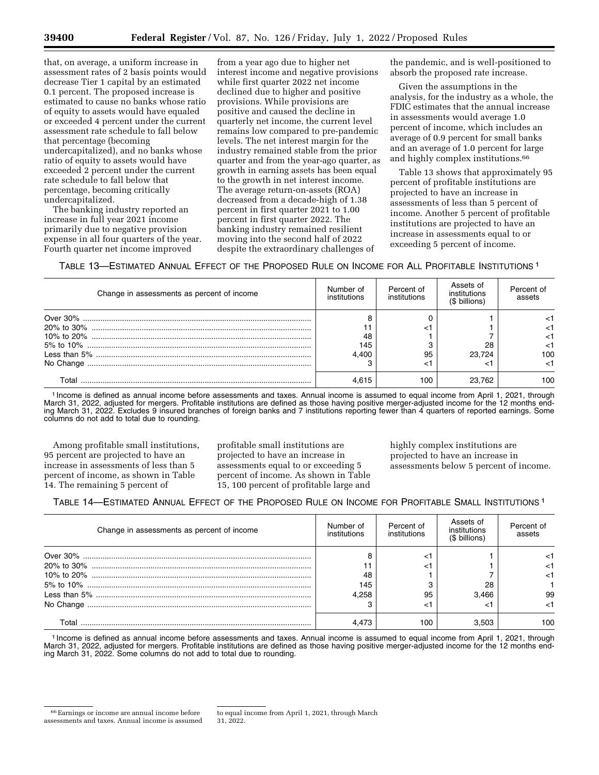0.1 percent. The proposed increase is estimated to cause no banks whose ratio of equity to assets would have equaled or exceeded 4 percent under the current assessment rate schedule to fall below that percentage (becoming undercapitalized), and no banks whose ratio of equity to assets would have exceeded 2 percent under the current rate schedule to fall below that percentage, becoming critically undercapitalized.

The banking industry reported an increase in full year 2021 income primarily due to negative provision expense in all four quarters of the year. Fourth quarter net income improved

from a year ago due to higher net interest income and negative provisions while first quarter 2022 net income declined due to higher and positive provisions. While provisions are positive and caused the decline in quarterly net income, the current level remains low compared to pre-pandemic levels. The net interest margin for the industry remained stable from the prior quarter and from the year-ago quarter, as growth in earning assets has been equal to the growth in net interest income. The average return-on-assets (ROA) decreased from a decade-high of 1.38 percent in first quarter 2021 to 1.00 percent in first quarter 2022. The banking industry remained resilient moving into the second half of 2022 despite the extraordinary challenges of

the pandemic, and is well-positioned to absorb the proposed rate increase.

Given the assumptions in the analysis, for the industry as a whole, the FDIC estimates that the annual increase in assessments would average 1.0 percent of income, which includes an average of 0.9 percent for small banks and an average of 1.0 percent for large and highly complex institutions.66

Table 13 shows that approximately 95 percent of profitable institutions are projected to have an increase in assessments of less than 5 percent of income. Another 5 percent of profitable institutions are projected to have an increase in assessments equal to or exceeding 5 percent of income.

TABLE 13—ESTIMATED ANNUAL EFFECT OF THE PROPOSED RULE ON INCOME FOR ALL PROFITABLE INSTITUTIONS 1

| Change in assessments as percent of income | Number of<br>institutions | Percent of<br>institutions | Assets of<br>institutions<br>(\$ billions) | Percent of<br>assets |
|--------------------------------------------|---------------------------|----------------------------|--------------------------------------------|----------------------|
|                                            |                           |                            |                                            |                      |
|                                            |                           |                            |                                            |                      |
|                                            | 48                        |                            |                                            |                      |
|                                            | 145                       |                            | 28                                         |                      |
|                                            | 4.400                     | 95                         | 23.724                                     | 100                  |
|                                            |                           |                            |                                            |                      |
| T∩tal                                      |                           | 100                        | 23 762                                     | 100                  |

1 Income is defined as annual income before assessments and taxes. Annual income is assumed to equal income from April 1, 2021, through March 31, 2022, adjusted for mergers. Profitable institutions are defined as those having positive merger-adjusted income for the 12 months ending March 31, 2022. Excludes 9 insured branches of foreign banks and 7 institutions reporting fewer than 4 quarters of reported earnings. Some columns do not add to total due to rounding.

Among profitable small institutions, 95 percent are projected to have an increase in assessments of less than 5 percent of income, as shown in Table 14. The remaining 5 percent of

profitable small institutions are projected to have an increase in assessments equal to or exceeding 5 percent of income. As shown in Table 15, 100 percent of profitable large and

highly complex institutions are projected to have an increase in assessments below 5 percent of income.

## TABLE 14—ESTIMATED ANNUAL EFFECT OF THE PROPOSED RULE ON INCOME FOR PROFITABLE SMALL INSTITUTIONS 1

| Change in assessments as percent of income   | Number of<br>institutions | Percent of<br>institutions | Assets of<br>institutions<br>(\$ billions) | Percent of<br>assets |
|----------------------------------------------|---------------------------|----------------------------|--------------------------------------------|----------------------|
|                                              |                           |                            |                                            |                      |
|                                              |                           |                            |                                            |                      |
|                                              | 48                        |                            |                                            |                      |
| 5% to 10% ………………………………………………………………………………………… | 145                       |                            | 28                                         |                      |
|                                              | 4.258                     | 95                         | 3.466                                      | 99                   |
|                                              |                           | <⊺                         |                                            |                      |
| Total                                        | 4.473                     | 100                        | 3.503                                      | 100                  |

1 Income is defined as annual income before assessments and taxes. Annual income is assumed to equal income from April 1, 2021, through March 31, 2022, adjusted for mergers. Profitable institutions are defined as those having positive merger-adjusted income for the 12 months ending March 31, 2022. Some columns do not add to total due to rounding.

<sup>66</sup>Earnings or income are annual income before assessments and taxes. Annual income is assumed

to equal income from April 1, 2021, through March 31, 2022.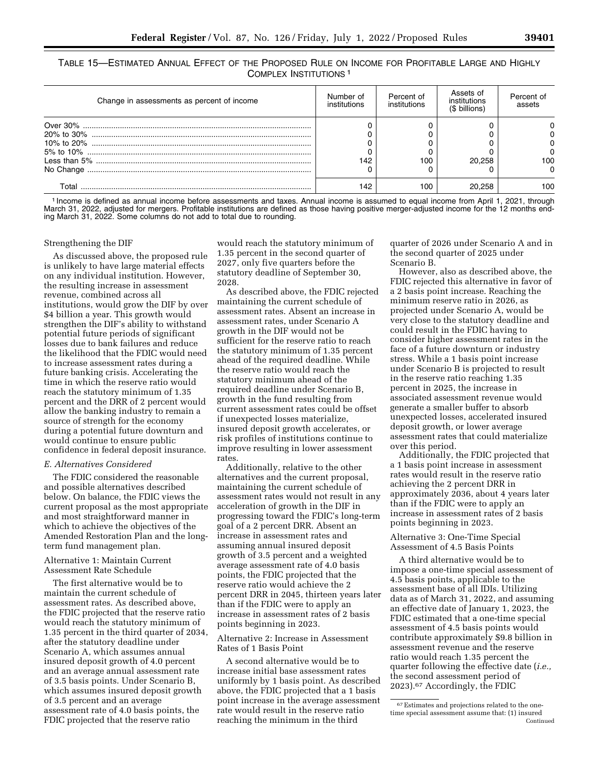TABLE 15—ESTIMATED ANNUAL EFFECT OF THE PROPOSED RULE ON INCOME FOR PROFITABLE LARGE AND HIGHLY COMPLEX INSTITUTIONS 1

| Change in assessments as percent of income | Number of<br>institutions | Percent of<br>institutions | Assets of<br>institutions<br>(\$ billions) | Percent of<br>assets |
|--------------------------------------------|---------------------------|----------------------------|--------------------------------------------|----------------------|
|                                            |                           |                            |                                            |                      |
|                                            |                           |                            |                                            |                      |
|                                            |                           |                            |                                            |                      |
|                                            |                           |                            |                                            |                      |
|                                            | 42                        | 100                        | 20.258                                     | 100                  |
|                                            |                           |                            |                                            |                      |
|                                            | 142                       | 100                        |                                            | 100                  |

1 Income is defined as annual income before assessments and taxes. Annual income is assumed to equal income from April 1, 2021, through March 31, 2022, adjusted for mergers. Profitable institutions are defined as those having positive merger-adjusted income for the 12 months ending March 31, 2022. Some columns do not add to total due to rounding.

#### Strengthening the DIF

As discussed above, the proposed rule is unlikely to have large material effects on any individual institution. However, the resulting increase in assessment revenue, combined across all institutions, would grow the DIF by over \$4 billion a year. This growth would strengthen the DIF's ability to withstand potential future periods of significant losses due to bank failures and reduce the likelihood that the FDIC would need to increase assessment rates during a future banking crisis. Accelerating the time in which the reserve ratio would reach the statutory minimum of 1.35 percent and the DRR of 2 percent would allow the banking industry to remain a source of strength for the economy during a potential future downturn and would continue to ensure public confidence in federal deposit insurance.

#### *E. Alternatives Considered*

The FDIC considered the reasonable and possible alternatives described below. On balance, the FDIC views the current proposal as the most appropriate and most straightforward manner in which to achieve the objectives of the Amended Restoration Plan and the longterm fund management plan.

## Alternative 1: Maintain Current Assessment Rate Schedule

The first alternative would be to maintain the current schedule of assessment rates. As described above, the FDIC projected that the reserve ratio would reach the statutory minimum of 1.35 percent in the third quarter of 2034, after the statutory deadline under Scenario A, which assumes annual insured deposit growth of 4.0 percent and an average annual assessment rate of 3.5 basis points. Under Scenario B, which assumes insured deposit growth of 3.5 percent and an average assessment rate of 4.0 basis points, the FDIC projected that the reserve ratio

would reach the statutory minimum of 1.35 percent in the second quarter of 2027, only five quarters before the statutory deadline of September 30, 2028.

As described above, the FDIC rejected maintaining the current schedule of assessment rates. Absent an increase in assessment rates, under Scenario A growth in the DIF would not be sufficient for the reserve ratio to reach the statutory minimum of 1.35 percent ahead of the required deadline. While the reserve ratio would reach the statutory minimum ahead of the required deadline under Scenario B, growth in the fund resulting from current assessment rates could be offset if unexpected losses materialize, insured deposit growth accelerates, or risk profiles of institutions continue to improve resulting in lower assessment rates.

Additionally, relative to the other alternatives and the current proposal, maintaining the current schedule of assessment rates would not result in any acceleration of growth in the DIF in progressing toward the FDIC's long-term goal of a 2 percent DRR. Absent an increase in assessment rates and assuming annual insured deposit growth of 3.5 percent and a weighted average assessment rate of 4.0 basis points, the FDIC projected that the reserve ratio would achieve the 2 percent DRR in 2045, thirteen years later than if the FDIC were to apply an increase in assessment rates of 2 basis points beginning in 2023.

### Alternative 2: Increase in Assessment Rates of 1 Basis Point

A second alternative would be to increase initial base assessment rates uniformly by 1 basis point. As described above, the FDIC projected that a 1 basis point increase in the average assessment rate would result in the reserve ratio reaching the minimum in the third

quarter of 2026 under Scenario A and in the second quarter of 2025 under Scenario B.

However, also as described above, the FDIC rejected this alternative in favor of a 2 basis point increase. Reaching the minimum reserve ratio in 2026, as projected under Scenario A, would be very close to the statutory deadline and could result in the FDIC having to consider higher assessment rates in the face of a future downturn or industry stress. While a 1 basis point increase under Scenario B is projected to result in the reserve ratio reaching 1.35 percent in 2025, the increase in associated assessment revenue would generate a smaller buffer to absorb unexpected losses, accelerated insured deposit growth, or lower average assessment rates that could materialize over this period.

Additionally, the FDIC projected that a 1 basis point increase in assessment rates would result in the reserve ratio achieving the 2 percent DRR in approximately 2036, about 4 years later than if the FDIC were to apply an increase in assessment rates of 2 basis points beginning in 2023.

## Alternative 3: One-Time Special Assessment of 4.5 Basis Points

A third alternative would be to impose a one-time special assessment of 4.5 basis points, applicable to the assessment base of all IDIs. Utilizing data as of March 31, 2022, and assuming an effective date of January 1, 2023, the FDIC estimated that a one-time special assessment of 4.5 basis points would contribute approximately \$9.8 billion in assessment revenue and the reserve

ratio would reach 1.35 percent the quarter following the effective date (*i.e.,*  the second assessment period of 2023).67 Accordingly, the FDIC

<sup>67</sup>Estimates and projections related to the onetime special assessment assume that: (1) insured Continued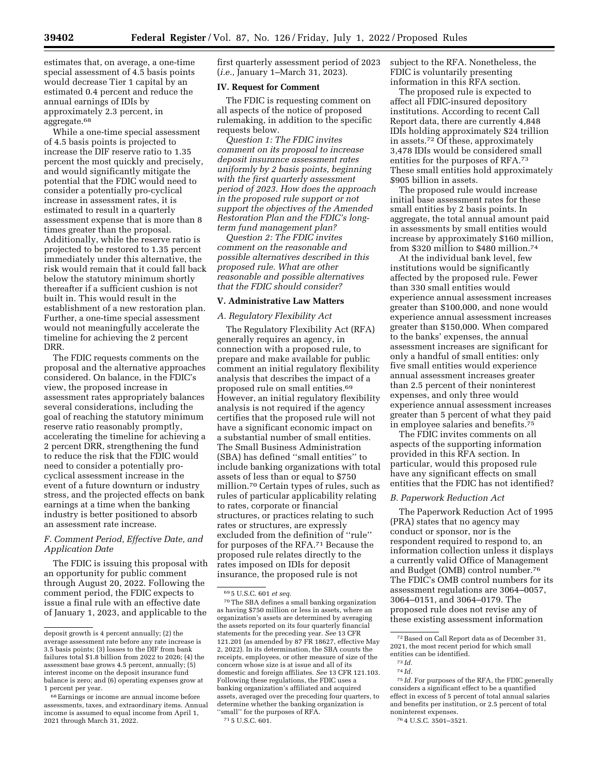estimates that, on average, a one-time special assessment of 4.5 basis points would decrease Tier 1 capital by an estimated 0.4 percent and reduce the annual earnings of IDIs by approximately 2.3 percent, in aggregate.<sup>68</sup>

While a one-time special assessment of 4.5 basis points is projected to increase the DIF reserve ratio to 1.35 percent the most quickly and precisely, and would significantly mitigate the potential that the FDIC would need to consider a potentially pro-cyclical increase in assessment rates, it is estimated to result in a quarterly assessment expense that is more than 8 times greater than the proposal. Additionally, while the reserve ratio is projected to be restored to 1.35 percent immediately under this alternative, the risk would remain that it could fall back below the statutory minimum shortly thereafter if a sufficient cushion is not built in. This would result in the establishment of a new restoration plan. Further, a one-time special assessment would not meaningfully accelerate the timeline for achieving the 2 percent DRR.

The FDIC requests comments on the proposal and the alternative approaches considered. On balance, in the FDIC's view, the proposed increase in assessment rates appropriately balances several considerations, including the goal of reaching the statutory minimum reserve ratio reasonably promptly, accelerating the timeline for achieving a 2 percent DRR, strengthening the fund to reduce the risk that the FDIC would need to consider a potentially procyclical assessment increase in the event of a future downturn or industry stress, and the projected effects on bank earnings at a time when the banking industry is better positioned to absorb an assessment rate increase.

## *F. Comment Period, Effective Date, and Application Date*

The FDIC is issuing this proposal with an opportunity for public comment through August 20, 2022. Following the comment period, the FDIC expects to issue a final rule with an effective date of January 1, 2023, and applicable to the first quarterly assessment period of 2023 (*i.e.,* January 1–March 31, 2023).

#### **IV. Request for Comment**

The FDIC is requesting comment on all aspects of the notice of proposed rulemaking, in addition to the specific requests below.

*Question 1: The FDIC invites comment on its proposal to increase deposit insurance assessment rates uniformly by 2 basis points, beginning with the first quarterly assessment period of 2023. How does the approach in the proposed rule support or not support the objectives of the Amended Restoration Plan and the FDIC's longterm fund management plan?* 

*Question 2: The FDIC invites comment on the reasonable and possible alternatives described in this proposed rule. What are other reasonable and possible alternatives that the FDIC should consider?* 

#### **V. Administrative Law Matters**

#### *A. Regulatory Flexibility Act*

The Regulatory Flexibility Act (RFA) generally requires an agency, in connection with a proposed rule, to prepare and make available for public comment an initial regulatory flexibility analysis that describes the impact of a proposed rule on small entities.69 However, an initial regulatory flexibility analysis is not required if the agency certifies that the proposed rule will not have a significant economic impact on a substantial number of small entities. The Small Business Administration (SBA) has defined ''small entities'' to include banking organizations with total assets of less than or equal to \$750 million.70 Certain types of rules, such as rules of particular applicability relating to rates, corporate or financial structures, or practices relating to such rates or structures, are expressly excluded from the definition of ''rule'' for purposes of the RFA.71 Because the proposed rule relates directly to the rates imposed on IDIs for deposit insurance, the proposed rule is not

subject to the RFA. Nonetheless, the FDIC is voluntarily presenting information in this RFA section.

The proposed rule is expected to affect all FDIC-insured depository institutions. According to recent Call Report data, there are currently 4,848 IDIs holding approximately \$24 trillion in assets.72 Of these, approximately 3,478 IDIs would be considered small entities for the purposes of RFA.73 These small entities hold approximately \$905 billion in assets.

The proposed rule would increase initial base assessment rates for these small entities by 2 basis points. In aggregate, the total annual amount paid in assessments by small entities would increase by approximately \$160 million, from \$320 million to \$480 million.74

At the individual bank level, few institutions would be significantly affected by the proposed rule. Fewer than 330 small entities would experience annual assessment increases greater than \$100,000, and none would experience annual assessment increases greater than \$150,000. When compared to the banks' expenses, the annual assessment increases are significant for only a handful of small entities: only five small entities would experience annual assessment increases greater than 2.5 percent of their noninterest expenses, and only three would experience annual assessment increases greater than 5 percent of what they paid in employee salaries and benefits.75

The FDIC invites comments on all aspects of the supporting information provided in this RFA section. In particular, would this proposed rule have any significant effects on small entities that the FDIC has not identified?

#### *B. Paperwork Reduction Act*

The Paperwork Reduction Act of 1995 (PRA) states that no agency may conduct or sponsor, nor is the respondent required to respond to, an information collection unless it displays a currently valid Office of Management and Budget (OMB) control number.76 The FDIC's OMB control numbers for its assessment regulations are 3064–0057, 3064–0151, and 3064–0179. The proposed rule does not revise any of these existing assessment information

75 *Id.* For purposes of the RFA, the FDIC generally considers a significant effect to be a quantified effect in excess of 5 percent of total annual salaries and benefits per institution, or 2.5 percent of total noninterest expenses.

deposit growth is 4 percent annually; (2) the average assessment rate before any rate increase is 3.5 basis points; (3) losses to the DIF from bank failures total \$1.8 billion from 2022 to 2026; (4) the assessment base grows 4.5 percent, annually; (5) interest income on the deposit insurance fund balance is zero; and (6) operating expenses grow at 1 percent per year.

<sup>68</sup>Earnings or income are annual income before assessments, taxes, and extraordinary items. Annual income is assumed to equal income from April 1, 2021 through March 31, 2022.

<sup>69</sup> 5 U.S.C. 601 *et seq.* 

<sup>70</sup>The SBA defines a small banking organization as having \$750 million or less in assets, where an organization's assets are determined by averaging the assets reported on its four quarterly financial statements for the preceding year. *See* 13 CFR 121.201 (as amended by 87 FR 18627, effective May 2, 2022). In its determination, the SBA counts the receipts, employees, or other measure of size of the concern whose size is at issue and all of its domestic and foreign affiliates. *See* 13 CFR 121.103. Following these regulations, the FDIC uses a banking organization's affiliated and acquired assets, averaged over the preceding four quarters, to determine whether the banking organization is 'small'' for the purposes of RFA. 71 5 U.S.C. 601.

<sup>72</sup>Based on Call Report data as of December 31, 2021, the most recent period for which small entities can be identified.

<sup>73</sup> *Id.* 

<sup>74</sup> *Id.* 

<sup>76</sup> 4 U.S.C. 3501–3521.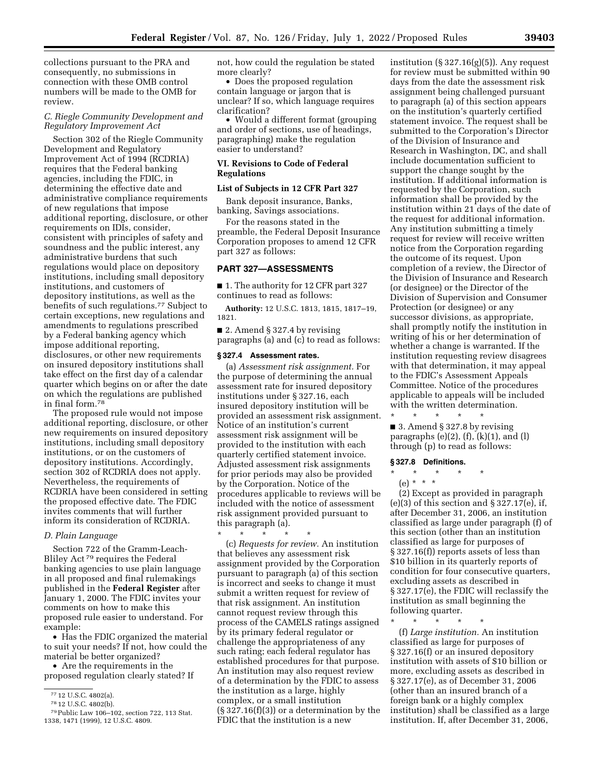collections pursuant to the PRA and consequently, no submissions in connection with these OMB control numbers will be made to the OMB for review.

#### *C. Riegle Community Development and Regulatory Improvement Act*

Section 302 of the Riegle Community Development and Regulatory Improvement Act of 1994 (RCDRIA) requires that the Federal banking agencies, including the FDIC, in determining the effective date and administrative compliance requirements of new regulations that impose additional reporting, disclosure, or other requirements on IDIs, consider, consistent with principles of safety and soundness and the public interest, any administrative burdens that such regulations would place on depository institutions, including small depository institutions, and customers of depository institutions, as well as the benefits of such regulations.<sup>77</sup> Subject to certain exceptions, new regulations and amendments to regulations prescribed by a Federal banking agency which impose additional reporting, disclosures, or other new requirements on insured depository institutions shall take effect on the first day of a calendar quarter which begins on or after the date on which the regulations are published in final form.78

The proposed rule would not impose additional reporting, disclosure, or other new requirements on insured depository institutions, including small depository institutions, or on the customers of depository institutions. Accordingly, section 302 of RCDRIA does not apply. Nevertheless, the requirements of RCDRIA have been considered in setting the proposed effective date. The FDIC invites comments that will further inform its consideration of RCDRIA.

## *D. Plain Language*

Section 722 of the Gramm-Leach-Bliley Act 79 requires the Federal banking agencies to use plain language in all proposed and final rulemakings published in the **Federal Register** after January 1, 2000. The FDIC invites your comments on how to make this proposed rule easier to understand. For example:

• Has the FDIC organized the material to suit your needs? If not, how could the material be better organized?

• Are the requirements in the proposed regulation clearly stated? If not, how could the regulation be stated more clearly?

• Does the proposed regulation contain language or jargon that is unclear? If so, which language requires clarification?

• Would a different format (grouping and order of sections, use of headings, paragraphing) make the regulation easier to understand?

#### **VI. Revisions to Code of Federal Regulations**

## **List of Subjects in 12 CFR Part 327**

Bank deposit insurance, Banks, banking, Savings associations.

For the reasons stated in the preamble, the Federal Deposit Insurance Corporation proposes to amend 12 CFR part 327 as follows:

## **PART 327—ASSESSMENTS**

■ 1. The authority for 12 CFR part 327 continues to read as follows:

**Authority:** 12 U.S.C. 1813, 1815, 1817–19, 1821.

■ 2. Amend § 327.4 by revising paragraphs (a) and (c) to read as follows:

## **§ 327.4 Assessment rates.**

(a) *Assessment risk assignment.* For the purpose of determining the annual assessment rate for insured depository institutions under § 327.16, each insured depository institution will be provided an assessment risk assignment. Notice of an institution's current assessment risk assignment will be provided to the institution with each quarterly certified statement invoice. Adjusted assessment risk assignments for prior periods may also be provided by the Corporation. Notice of the procedures applicable to reviews will be included with the notice of assessment risk assignment provided pursuant to this paragraph (a).

\* \* \* \* \* (c) *Requests for review.* An institution that believes any assessment risk assignment provided by the Corporation pursuant to paragraph (a) of this section is incorrect and seeks to change it must submit a written request for review of that risk assignment. An institution cannot request review through this process of the CAMELS ratings assigned by its primary federal regulator or challenge the appropriateness of any such rating; each federal regulator has established procedures for that purpose. An institution may also request review of a determination by the FDIC to assess the institution as a large, highly complex, or a small institution  $(\S 327.16(f)(3))$  or a determination by the FDIC that the institution is a new

institution  $(\S 327.16(g)(5))$ . Any request for review must be submitted within 90 days from the date the assessment risk assignment being challenged pursuant to paragraph (a) of this section appears on the institution's quarterly certified statement invoice. The request shall be submitted to the Corporation's Director of the Division of Insurance and Research in Washington, DC, and shall include documentation sufficient to support the change sought by the institution. If additional information is requested by the Corporation, such information shall be provided by the institution within 21 days of the date of the request for additional information. Any institution submitting a timely request for review will receive written notice from the Corporation regarding the outcome of its request. Upon completion of a review, the Director of the Division of Insurance and Research (or designee) or the Director of the Division of Supervision and Consumer Protection (or designee) or any successor divisions, as appropriate, shall promptly notify the institution in writing of his or her determination of whether a change is warranted. If the institution requesting review disagrees with that determination, it may appeal to the FDIC's Assessment Appeals Committee. Notice of the procedures applicable to appeals will be included with the written determination.

\* \* \* \* \* ■ 3. Amend § 327.8 by revising paragraphs  $(e)(2)$ ,  $(f)$ ,  $(k)(1)$ , and  $(l)$ through (p) to read as follows:

#### **§ 327.8 Definitions.**

\* \* \* \* \*

(e) \* \* \*

(2) Except as provided in paragraph  $(e)(3)$  of this section and  $\S 327.17(e)$ , if, after December 31, 2006, an institution classified as large under paragraph (f) of this section (other than an institution classified as large for purposes of § 327.16(f)) reports assets of less than \$10 billion in its quarterly reports of condition for four consecutive quarters, excluding assets as described in § 327.17(e), the FDIC will reclassify the institution as small beginning the following quarter.

\* \* \* \* \*

(f) *Large institution.* An institution classified as large for purposes of § 327.16(f) or an insured depository institution with assets of \$10 billion or more, excluding assets as described in § 327.17(e), as of December 31, 2006 (other than an insured branch of a foreign bank or a highly complex institution) shall be classified as a large institution. If, after December 31, 2006,

<sup>77</sup> 12 U.S.C. 4802(a).

<sup>78</sup> 12 U.S.C. 4802(b).

<sup>79</sup>Public Law 106–102, section 722, 113 Stat. 1338, 1471 (1999), 12 U.S.C. 4809.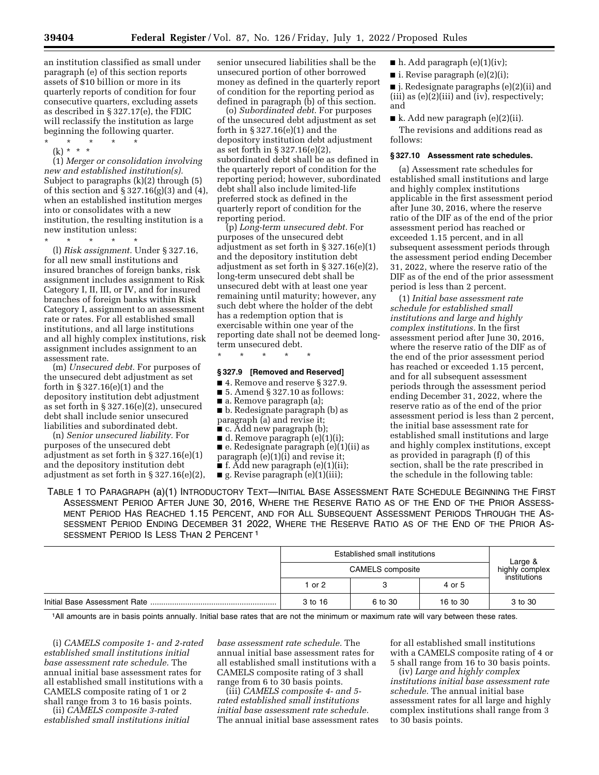an institution classified as small under paragraph (e) of this section reports assets of \$10 billion or more in its quarterly reports of condition for four consecutive quarters, excluding assets as described in § 327.17(e), the FDIC will reclassify the institution as large beginning the following quarter.

- \* \* \* \* \*
	- (k) \* \* \*

(1) *Merger or consolidation involving new and established institution(s).*  Subject to paragraphs (k)(2) through (5) of this section and  $\S 327.16(g)(3)$  and  $(4)$ , when an established institution merges into or consolidates with a new institution, the resulting institution is a new institution unless:

\* \* \* \* \*

(l) *Risk assignment.* Under § 327.16, for all new small institutions and insured branches of foreign banks, risk assignment includes assignment to Risk Category I, II, III, or IV, and for insured branches of foreign banks within Risk Category I, assignment to an assessment rate or rates. For all established small institutions, and all large institutions and all highly complex institutions, risk assignment includes assignment to an assessment rate.

(m) *Unsecured debt.* For purposes of the unsecured debt adjustment as set forth in § 327.16(e)(1) and the depository institution debt adjustment as set forth in § 327.16(e)(2), unsecured debt shall include senior unsecured liabilities and subordinated debt.

(n) *Senior unsecured liability.* For purposes of the unsecured debt adjustment as set forth in § 327.16(e)(1) and the depository institution debt adjustment as set forth in § 327.16(e)(2), senior unsecured liabilities shall be the unsecured portion of other borrowed money as defined in the quarterly report of condition for the reporting period as defined in paragraph (b) of this section.

(o) *Subordinated debt.* For purposes of the unsecured debt adjustment as set forth in § 327.16(e)(1) and the depository institution debt adjustment as set forth in § 327.16(e)(2), subordinated debt shall be as defined in the quarterly report of condition for the reporting period; however, subordinated debt shall also include limited-life preferred stock as defined in the quarterly report of condition for the reporting period.

(p) *Long-term unsecured debt.* For purposes of the unsecured debt adjustment as set forth in § 327.16(e)(1) and the depository institution debt adjustment as set forth in § 327.16(e)(2), long-term unsecured debt shall be unsecured debt with at least one year remaining until maturity; however, any such debt where the holder of the debt has a redemption option that is exercisable within one year of the reporting date shall not be deemed longterm unsecured debt.

#### **§ 327.9 [Removed and Reserved]**

\* \* \* \* \*

■ 4. Remove and reserve § 327.9.

- 5. Amend § 327.10 as follows:
- a. Remove paragraph (a);
- b. Redesignate paragraph (b) as paragraph (a) and revise it;
- c. Add new paragraph (b);
- d. Remove paragraph (e)(1)(i);

■ e. Redesignate paragraph (e)(1)(ii) as paragraph (e)(1)(i) and revise it;

- f. Add new paragraph (e)(1)(ii);
- $\blacksquare$  g. Revise paragraph  $(e)(1)(iii)$ ;
- $\blacksquare$  h. Add paragraph (e)(1)(iv);
- i. Revise paragraph (e)(2)(i);

■ j. Redesignate paragraphs (e)(2)(ii) and (iii) as  $(e)(\overline{2})$ (iii) and (iv), respectively; and

 $\blacksquare$  k. Add new paragraph (e)(2)(ii). The revisions and additions read as follows:

#### **§ 327.10 Assessment rate schedules.**

(a) Assessment rate schedules for established small institutions and large and highly complex institutions applicable in the first assessment period after June 30, 2016, where the reserve ratio of the DIF as of the end of the prior assessment period has reached or exceeded 1.15 percent, and in all subsequent assessment periods through the assessment period ending December 31, 2022, where the reserve ratio of the DIF as of the end of the prior assessment period is less than 2 percent.

(1) *Initial base assessment rate schedule for established small institutions and large and highly complex institutions.* In the first assessment period after June 30, 2016, where the reserve ratio of the DIF as of the end of the prior assessment period has reached or exceeded 1.15 percent, and for all subsequent assessment periods through the assessment period ending December 31, 2022, where the reserve ratio as of the end of the prior assessment period is less than 2 percent, the initial base assessment rate for established small institutions and large and highly complex institutions, except as provided in paragraph (f) of this section, shall be the rate prescribed in the schedule in the following table:

TABLE 1 TO PARAGRAPH (a)(1) INTRODUCTORY TEXT—INITIAL BASE ASSESSMENT RATE SCHEDULE BEGINNING THE FIRST ASSESSMENT PERIOD AFTER JUNE 30, 2016, WHERE THE RESERVE RATIO AS OF THE END OF THE PRIOR ASSESS-MENT PERIOD HAS REACHED 1.15 PERCENT, AND FOR ALL SUBSEQUENT ASSESSMENT PERIODS THROUGH THE AS-SESSMENT PERIOD ENDING DECEMBER 31 2022, WHERE THE RESERVE RATIO AS OF THE END OF THE PRIOR AS-SESSMENT PERIOD IS LESS THAN 2 PERCENT<sup>1</sup>

|  | Established small institutions<br><b>CAMELS</b> composite |         |          | Large &<br>highly complex |
|--|-----------------------------------------------------------|---------|----------|---------------------------|
|  |                                                           |         |          |                           |
|  | 1 or 2                                                    |         | 4 or 5   | institutions              |
|  | 3 to 16                                                   | 6 to 30 | 16 to 30 | 3 to 30                   |

1All amounts are in basis points annually. Initial base rates that are not the minimum or maximum rate will vary between these rates.

(i) *CAMELS composite 1- and 2-rated established small institutions initial base assessment rate schedule.* The annual initial base assessment rates for all established small institutions with a CAMELS composite rating of 1 or 2 shall range from 3 to 16 basis points.

(ii) *CAMELS composite 3-rated established small institutions initial*  *base assessment rate schedule.* The annual initial base assessment rates for all established small institutions with a CAMELS composite rating of 3 shall range from 6 to 30 basis points.

(iii) *CAMELS composite 4- and 5 rated established small institutions initial base assessment rate schedule.*  The annual initial base assessment rates for all established small institutions with a CAMELS composite rating of 4 or 5 shall range from 16 to 30 basis points.

(iv) *Large and highly complex institutions initial base assessment rate schedule.* The annual initial base assessment rates for all large and highly complex institutions shall range from 3 to 30 basis points.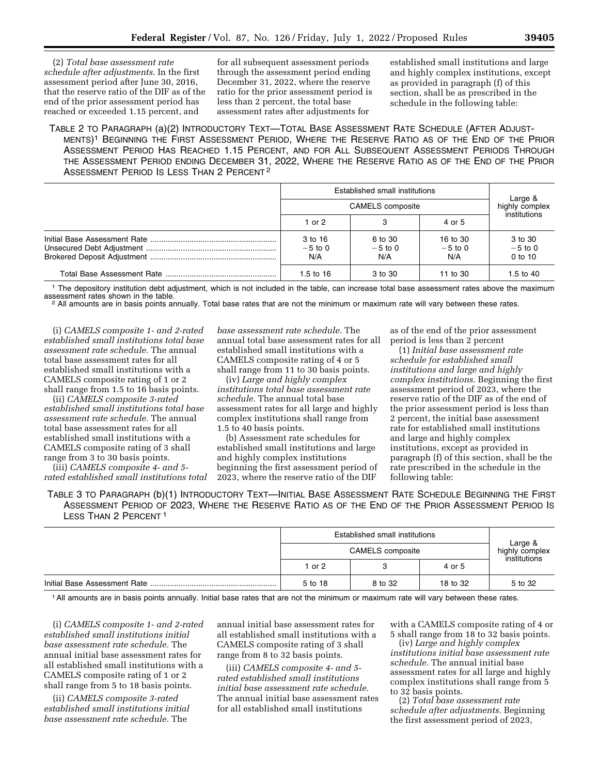(2) *Total base assessment rate schedule after adjustments.* In the first assessment period after June 30, 2016, that the reserve ratio of the DIF as of the end of the prior assessment period has reached or exceeded 1.15 percent, and

for all subsequent assessment periods through the assessment period ending December 31, 2022, where the reserve ratio for the prior assessment period is less than 2 percent, the total base assessment rates after adjustments for

established small institutions and large and highly complex institutions, except as provided in paragraph (f) of this section, shall be as prescribed in the schedule in the following table:

## TABLE 2 TO PARAGRAPH (a)(2) INTRODUCTORY TEXT—TOTAL BASE ASSESSMENT RATE SCHEDULE (AFTER ADJUST-MENTS)1 BEGINNING THE FIRST ASSESSMENT PERIOD, WHERE THE RESERVE RATIO AS OF THE END OF THE PRIOR ASSESSMENT PERIOD HAS REACHED 1.15 PERCENT, AND FOR ALL SUBSEQUENT ASSESSMENT PERIODS THROUGH THE ASSESSMENT PERIOD ENDING DECEMBER 31, 2022, WHERE THE RESERVE RATIO AS OF THE END OF THE PRIOR ASSESSMENT PERIOD IS LESS THAN 2 PERCENT<sup>2</sup>

|                             | Established small institutions |                              |                                   |
|-----------------------------|--------------------------------|------------------------------|-----------------------------------|
| <b>CAMELS</b> composite     |                                |                              | ⊣ Large &<br>highly complex       |
| 1 or $2$                    |                                | 4 or 5                       | institutions                      |
| 3 to 16<br>$-5$ to 0<br>N/A | 6 to 30<br>$-5$ to 0<br>N/A    | 16 to 30<br>$-5$ to 0<br>N/A | 3 to 30<br>$-5$ to 0<br>$0$ to 10 |
| 1.5 to $16$                 | 3 to 30                        | 11 to 30                     | 1.5 to $40$                       |

<sup>1</sup> The depository institution debt adjustment, which is not included in the table, can increase total base assessment rates above the maximum assessment rates shown in the table.

<sup>2</sup> All amounts are in basis points annually. Total base rates that are not the minimum or maximum rate will vary between these rates.

(i) *CAMELS composite 1- and 2-rated established small institutions total base assessment rate schedule.* The annual total base assessment rates for all established small institutions with a CAMELS composite rating of 1 or 2 shall range from 1.5 to 16 basis points.

(ii) *CAMELS composite 3-rated established small institutions total base assessment rate schedule.* The annual total base assessment rates for all established small institutions with a CAMELS composite rating of 3 shall range from 3 to 30 basis points.

(iii) *CAMELS composite 4- and 5 rated established small institutions total* 

*base assessment rate schedule.* The annual total base assessment rates for all established small institutions with a CAMELS composite rating of 4 or 5 shall range from 11 to 30 basis points.

(iv) *Large and highly complex institutions total base assessment rate schedule.* The annual total base assessment rates for all large and highly complex institutions shall range from 1.5 to 40 basis points.

(b) Assessment rate schedules for established small institutions and large and highly complex institutions beginning the first assessment period of 2023, where the reserve ratio of the DIF

as of the end of the prior assessment period is less than 2 percent

(1) *Initial base assessment rate schedule for established small institutions and large and highly complex institutions.* Beginning the first assessment period of 2023, where the reserve ratio of the DIF as of the end of the prior assessment period is less than 2 percent, the initial base assessment rate for established small institutions and large and highly complex institutions, except as provided in paragraph (f) of this section, shall be the rate prescribed in the schedule in the following table:

TABLE 3 TO PARAGRAPH (b)(1) INTRODUCTORY TEXT—INITIAL BASE ASSESSMENT RATE SCHEDULE BEGINNING THE FIRST ASSESSMENT PERIOD OF 2023, WHERE THE RESERVE RATIO AS OF THE END OF THE PRIOR ASSESSMENT PERIOD IS LESS THAN 2 PERCENT<sup>1</sup>

|  | Established small institutions<br><b>CAMELS</b> composite |         |          | Large &<br>highly complex |
|--|-----------------------------------------------------------|---------|----------|---------------------------|
|  |                                                           |         |          |                           |
|  | 1 or 2                                                    |         | 4 or 5   | institutions              |
|  | 5 to 18                                                   | 8 to 32 | 18 to 32 | 5 to 32                   |

1All amounts are in basis points annually. Initial base rates that are not the minimum or maximum rate will vary between these rates.

(i) *CAMELS composite 1- and 2-rated established small institutions initial base assessment rate schedule.* The annual initial base assessment rates for all established small institutions with a CAMELS composite rating of 1 or 2 shall range from 5 to 18 basis points.

(ii) *CAMELS composite 3-rated established small institutions initial base assessment rate schedule.* The

annual initial base assessment rates for all established small institutions with a CAMELS composite rating of 3 shall range from 8 to 32 basis points.

(iii) *CAMELS composite 4- and 5 rated established small institutions initial base assessment rate schedule.*  The annual initial base assessment rates for all established small institutions

with a CAMELS composite rating of 4 or 5 shall range from 18 to 32 basis points.

(iv) *Large and highly complex institutions initial base assessment rate schedule.* The annual initial base assessment rates for all large and highly complex institutions shall range from 5 to 32 basis points.

(2) *Total base assessment rate schedule after adjustments.* Beginning the first assessment period of 2023,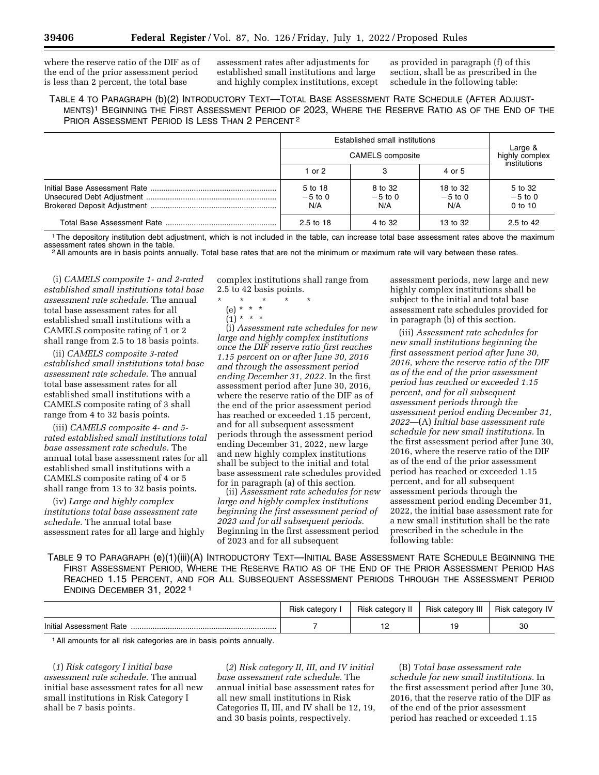where the reserve ratio of the DIF as of the end of the prior assessment period is less than 2 percent, the total base

assessment rates after adjustments for established small institutions and large and highly complex institutions, except

as provided in paragraph (f) of this section, shall be as prescribed in the schedule in the following table:

## TABLE 4 TO PARAGRAPH (b)(2) INTRODUCTORY TEXT—TOTAL BASE ASSESSMENT RATE SCHEDULE (AFTER ADJUST-MENTS)1 BEGINNING THE FIRST ASSESSMENT PERIOD OF 2023, WHERE THE RESERVE RATIO AS OF THE END OF THE PRIOR ASSESSMENT PERIOD IS LESS THAN 2 PERCENT 2

|  | Established small institutions<br><b>CAMELS</b> composite |                             |                              | Large &<br>highly complex         |
|--|-----------------------------------------------------------|-----------------------------|------------------------------|-----------------------------------|
|  |                                                           |                             |                              |                                   |
|  | 1 or $2$                                                  | 3                           | 4 or 5                       | institutions                      |
|  | 5 to 18<br>$-5$ to 0<br>N/A                               | 8 to 32<br>$-5$ to 0<br>N/A | 18 to 32<br>$-5$ to 0<br>N/A | 5 to 32<br>$-5$ to 0<br>$0$ to 10 |
|  | $2.5 \text{ to } 18$                                      | 4 to 32                     | 13 to 32                     | 2.5 to 42                         |

<sup>1</sup>The depository institution debt adjustment, which is not included in the table, can increase total base assessment rates above the maximum assessment rates shown in the table.

<sup>2</sup> All amounts are in basis points annually. Total base rates that are not the minimum or maximum rate will vary between these rates.

(i) *CAMELS composite 1- and 2-rated established small institutions total base assessment rate schedule.* The annual total base assessment rates for all established small institutions with a CAMELS composite rating of 1 or 2 shall range from 2.5 to 18 basis points.

(ii) *CAMELS composite 3-rated established small institutions total base assessment rate schedule.* The annual total base assessment rates for all established small institutions with a CAMELS composite rating of 3 shall range from 4 to 32 basis points.

(iii) *CAMELS composite 4- and 5 rated established small institutions total base assessment rate schedule.* The annual total base assessment rates for all established small institutions with a CAMELS composite rating of 4 or 5 shall range from 13 to 32 basis points.

(iv) *Large and highly complex institutions total base assessment rate schedule.* The annual total base assessment rates for all large and highly complex institutions shall range from 2.5 to 42 basis points.

- \* \* \* \* \*
	- (e) \* \* \*
	- $(1) * * * *$

(i) *Assessment rate schedules for new large and highly complex institutions once the DIF reserve ratio first reaches 1.15 percent on or after June 30, 2016 and through the assessment period ending December 31, 2022.* In the first assessment period after June 30, 2016, where the reserve ratio of the DIF as of the end of the prior assessment period has reached or exceeded 1.15 percent, and for all subsequent assessment periods through the assessment period ending December 31, 2022, new large and new highly complex institutions shall be subject to the initial and total base assessment rate schedules provided for in paragraph (a) of this section.

(ii) *Assessment rate schedules for new large and highly complex institutions beginning the first assessment period of 2023 and for all subsequent periods.*  Beginning in the first assessment period of 2023 and for all subsequent

assessment periods, new large and new highly complex institutions shall be subject to the initial and total base assessment rate schedules provided for in paragraph (b) of this section.

(iii) *Assessment rate schedules for new small institutions beginning the first assessment period after June 30, 2016, where the reserve ratio of the DIF as of the end of the prior assessment period has reached or exceeded 1.15 percent, and for all subsequent assessment periods through the assessment period ending December 31, 2022*—(A) *Initial base assessment rate schedule for new small institutions.* In the first assessment period after June 30, 2016, where the reserve ratio of the DIF as of the end of the prior assessment period has reached or exceeded 1.15 percent, and for all subsequent assessment periods through the assessment period ending December 31, 2022, the initial base assessment rate for a new small institution shall be the rate prescribed in the schedule in the following table:

TABLE 9 TO PARAGRAPH (e)(1)(iii)(A) INTRODUCTORY TEXT—INITIAL BASE ASSESSMENT RATE SCHEDULE BEGINNING THE FIRST ASSESSMENT PERIOD, WHERE THE RESERVE RATIO AS OF THE END OF THE PRIOR ASSESSMENT PERIOD HAS REACHED 1.15 PERCENT, AND FOR ALL SUBSEQUENT ASSESSMENT PERIODS THROUGH THE ASSESSMENT PERIOD ENDING DECEMBER 31, 2022 1

|                 | <b>Risk</b> | Risk<br>category | Risk category III | Risk category IV |
|-----------------|-------------|------------------|-------------------|------------------|
| Initial<br>Rate |             | .                |                   | 30               |

1All amounts for all risk categories are in basis points annually.

(*1*) *Risk category I initial base assessment rate schedule.* The annual initial base assessment rates for all new small institutions in Risk Category I shall be 7 basis points.

(*2*) *Risk category II, III, and IV initial base assessment rate schedule.* The annual initial base assessment rates for all new small institutions in Risk Categories II, III, and IV shall be 12, 19, and 30 basis points, respectively.

(B) *Total base assessment rate schedule for new small institutions.* In the first assessment period after June 30, 2016, that the reserve ratio of the DIF as of the end of the prior assessment period has reached or exceeded 1.15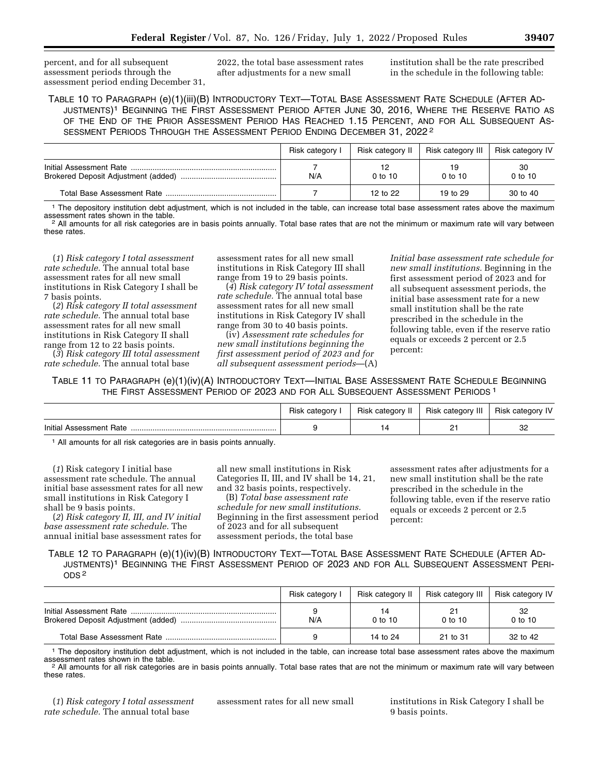percent, and for all subsequent assessment periods through the assessment period ending December 31, 2022, the total base assessment rates after adjustments for a new small

institution shall be the rate prescribed in the schedule in the following table:

TABLE 10 TO PARAGRAPH (e)(1)(iii)(B) INTRODUCTORY TEXT—TOTAL BASE ASSESSMENT RATE SCHEDULE (AFTER AD-JUSTMENTS)1 BEGINNING THE FIRST ASSESSMENT PERIOD AFTER JUNE 30, 2016, WHERE THE RESERVE RATIO AS OF THE END OF THE PRIOR ASSESSMENT PERIOD HAS REACHED 1.15 PERCENT, AND FOR ALL SUBSEQUENT AS-SESSMENT PERIODS THROUGH THE ASSESSMENT PERIOD ENDING DECEMBER 31, 2022 2

| Risk category I | Risk category II | Risk category III | Risk category IV |
|-----------------|------------------|-------------------|------------------|
| N/A             | $0$ to 10        | $0$ to 10         | 30<br>$0$ to 10  |
|                 | 12 to 22         | 19 to 29          | 30 to 40         |

<sup>1</sup> The depository institution debt adjustment, which is not included in the table, can increase total base assessment rates above the maximum assessment rates shown in the table.

<sup>2</sup> All amounts for all risk categories are in basis points annually. Total base rates that are not the minimum or maximum rate will vary between these rates.

(*1*) *Risk category I total assessment rate schedule.* The annual total base assessment rates for all new small institutions in Risk Category I shall be 7 basis points.

(*2*) *Risk category II total assessment rate schedule.* The annual total base assessment rates for all new small institutions in Risk Category II shall range from 12 to 22 basis points.

(*3*) *Risk category III total assessment rate schedule.* The annual total base

assessment rates for all new small institutions in Risk Category III shall range from 19 to 29 basis points.

(*4*) *Risk category IV total assessment rate schedule.* The annual total base assessment rates for all new small institutions in Risk Category IV shall range from 30 to 40 basis points.

(iv) *Assessment rate schedules for new small institutions beginning the first assessment period of 2023 and for all subsequent assessment periods*—(A)

*Initial base assessment rate schedule for new small institutions.* Beginning in the first assessment period of 2023 and for all subsequent assessment periods, the initial base assessment rate for a new small institution shall be the rate prescribed in the schedule in the following table, even if the reserve ratio equals or exceeds 2 percent or 2.5 percent:

TABLE 11 TO PARAGRAPH (e)(1)(iv)(A) INTRODUCTORY TEXT—INITIAL BASE ASSESSMENT RATE SCHEDULE BEGINNING THE FIRST ASSESSMENT PERIOD OF 2023 AND FOR ALL SUBSEQUENT ASSESSMENT PERIODS 1

|                  | Risk | Risk category | Risk category<br>⊆ III. | category IV<br><b>HISK</b> |
|------------------|------|---------------|-------------------------|----------------------------|
| Initial<br>⊤Rate |      |               | <u>_</u>                | o٢<br>ےت                   |

1 All amounts for all risk categories are in basis points annually.

(*1*) Risk category I initial base assessment rate schedule. The annual initial base assessment rates for all new small institutions in Risk Category I shall be 9 basis points.

(*2*) *Risk category II, III, and IV initial base assessment rate schedule.* The annual initial base assessment rates for all new small institutions in Risk Categories II, III, and IV shall be 14, 21, and 32 basis points, respectively.

(B) *Total base assessment rate schedule for new small institutions.*  Beginning in the first assessment period of 2023 and for all subsequent assessment periods, the total base

assessment rates after adjustments for a new small institution shall be the rate prescribed in the schedule in the following table, even if the reserve ratio equals or exceeds 2 percent or 2.5 percent:

TABLE 12 TO PARAGRAPH (e)(1)(iv)(B) INTRODUCTORY TEXT—TOTAL BASE ASSESSMENT RATE SCHEDULE (AFTER AD-JUSTMENTS)1 BEGINNING THE FIRST ASSESSMENT PERIOD OF 2023 AND FOR ALL SUBSEQUENT ASSESSMENT PERI-ODS 2

| Risk category I | Risk category II | Risk category III | Risk category IV |
|-----------------|------------------|-------------------|------------------|
| N/A             | $0$ to 10        | 21<br>$0$ to 10   | 32<br>$0$ to 10  |
|                 | 14 to 24         | 21 to 31          | 32 to 42         |

<sup>1</sup> The depository institution debt adjustment, which is not included in the table, can increase total base assessment rates above the maximum assessment rates shown in the table.

<sup>2</sup> All amounts for all risk categories are in basis points annually. Total base rates that are not the minimum or maximum rate will vary between these rates.

(*1*) *Risk category I total assessment rate schedule.* The annual total base

assessment rates for all new small institutions in Risk Category I shall be 9 basis points.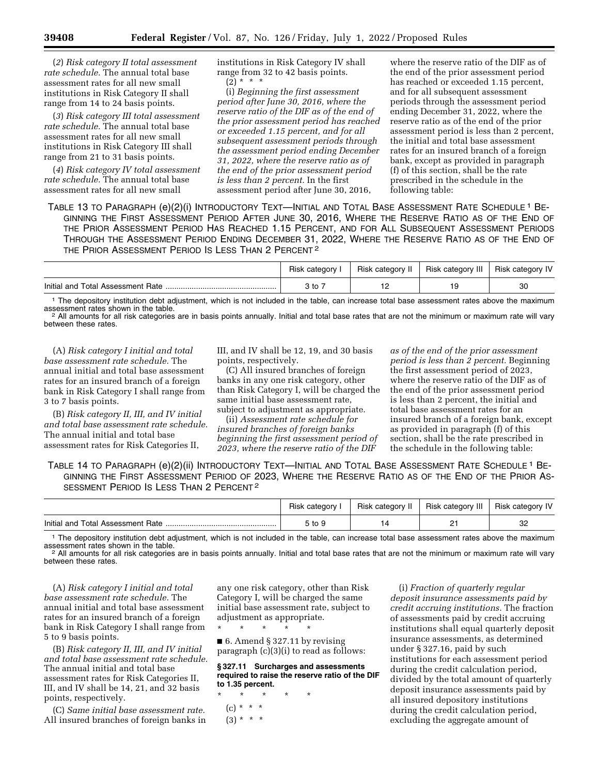(*2*) *Risk category II total assessment rate schedule.* The annual total base assessment rates for all new small institutions in Risk Category II shall range from 14 to 24 basis points.

(*3*) *Risk category III total assessment rate schedule.* The annual total base assessment rates for all new small institutions in Risk Category III shall range from 21 to 31 basis points.

(*4*) *Risk category IV total assessment rate schedule.* The annual total base assessment rates for all new small

institutions in Risk Category IV shall range from 32 to 42 basis points.  $(2) * * * *$ 

(i) *Beginning the first assessment period after June 30, 2016, where the reserve ratio of the DIF as of the end of the prior assessment period has reached or exceeded 1.15 percent, and for all subsequent assessment periods through the assessment period ending December 31, 2022, where the reserve ratio as of the end of the prior assessment period is less than 2 percent.* In the first assessment period after June 30, 2016,

where the reserve ratio of the DIF as of the end of the prior assessment period has reached or exceeded 1.15 percent, and for all subsequent assessment periods through the assessment period ending December 31, 2022, where the reserve ratio as of the end of the prior assessment period is less than 2 percent, the initial and total base assessment rates for an insured branch of a foreign bank, except as provided in paragraph (f) of this section, shall be the rate prescribed in the schedule in the following table:

TABLE 13 TO PARAGRAPH (e)(2)(i) INTRODUCTORY TEXT—INITIAL AND TOTAL BASE ASSESSMENT RATE SCHEDULE 1 BE-GINNING THE FIRST ASSESSMENT PERIOD AFTER JUNE 30, 2016, WHERE THE RESERVE RATIO AS OF THE END OF THE PRIOR ASSESSMENT PERIOD HAS REACHED 1.15 PERCENT, AND FOR ALL SUBSEQUENT ASSESSMENT PERIODS THROUGH THE ASSESSMENT PERIOD ENDING DECEMBER 31, 2022, WHERE THE RESERVE RATIO AS OF THE END OF THE PRIOR ASSESSMENT PERIOD IS LESS THAN 2 PERCENT 2

|                                   | Risk category I | Risk category II | Risk category III | <b>Risk category IV</b> |
|-----------------------------------|-----------------|------------------|-------------------|-------------------------|
| Initial and Total Assessment Rate |                 |                  |                   | 30                      |

<sup>1</sup> The depository institution debt adjustment, which is not included in the table, can increase total base assessment rates above the maximum assessment rates shown in the table.

<sup>2</sup> All amounts for all risk categories are in basis points annually. Initial and total base rates that are not the minimum or maximum rate will vary between these rates.

(A) *Risk category I initial and total base assessment rate schedule.* The annual initial and total base assessment rates for an insured branch of a foreign bank in Risk Category I shall range from 3 to 7 basis points.

(B) *Risk category II, III, and IV initial and total base assessment rate schedule.*  The annual initial and total base assessment rates for Risk Categories II,

III, and IV shall be 12, 19, and 30 basis points, respectively.

(C) All insured branches of foreign banks in any one risk category, other than Risk Category I, will be charged the same initial base assessment rate, subject to adjustment as appropriate.

(ii) *Assessment rate schedule for insured branches of foreign banks beginning the first assessment period of 2023, where the reserve ratio of the DIF* 

*as of the end of the prior assessment period is less than 2 percent.* Beginning the first assessment period of 2023, where the reserve ratio of the DIF as of the end of the prior assessment period is less than 2 percent, the initial and total base assessment rates for an insured branch of a foreign bank, except as provided in paragraph (f) of this section, shall be the rate prescribed in the schedule in the following table:

TABLE 14 TO PARAGRAPH (e)(2)(ii) INTRODUCTORY TEXT—INITIAL AND TOTAL BASE ASSESSMENT RATE SCHEDULE 1 BE-GINNING THE FIRST ASSESSMENT PERIOD OF 2023, WHERE THE RESERVE RATIO AS OF THE END OF THE PRIOR AS-SESSMENT PERIOD IS LESS THAN 2 PERCENT 2

|                                   | Risk category | Risk category II | Risk category III | <b>Risk category IV</b> |
|-----------------------------------|---------------|------------------|-------------------|-------------------------|
| Initial and Total Assessment Rate | ∶to 9         |                  |                   | oc<br>ےت                |

1 The depository institution debt adjustment, which is not included in the table, can increase total base assessment rates above the maximum assessment rates shown in the table.<br><sup>2</sup> All amounts for all risk categories are in basis points annually. Initial and total base rates that are not the minimum or maximum rate will vary

between these rates.

(A) *Risk category I initial and total base assessment rate schedule.* The annual initial and total base assessment rates for an insured branch of a foreign bank in Risk Category I shall range from 5 to 9 basis points.

(B) *Risk category II, III, and IV initial and total base assessment rate schedule.*  The annual initial and total base assessment rates for Risk Categories II, III, and IV shall be 14, 21, and 32 basis points, respectively.

(C) *Same initial base assessment rate.*  All insured branches of foreign banks in

any one risk category, other than Risk Category I, will be charged the same initial base assessment rate, subject to adjustment as appropriate.

■ 6. Amend § 327.11 by revising paragraph (c)(3)(i) to read as follows:

**§ 327.11 Surcharges and assessments required to raise the reserve ratio of the DIF to 1.35 percent.** 

\* \* \* \* \*  $(c) * * * *$  $(3) * * * *$ 

\* \* \* \* \*

(i) *Fraction of quarterly regular deposit insurance assessments paid by credit accruing institutions.* The fraction of assessments paid by credit accruing institutions shall equal quarterly deposit insurance assessments, as determined under § 327.16, paid by such institutions for each assessment period during the credit calculation period, divided by the total amount of quarterly deposit insurance assessments paid by all insured depository institutions during the credit calculation period, excluding the aggregate amount of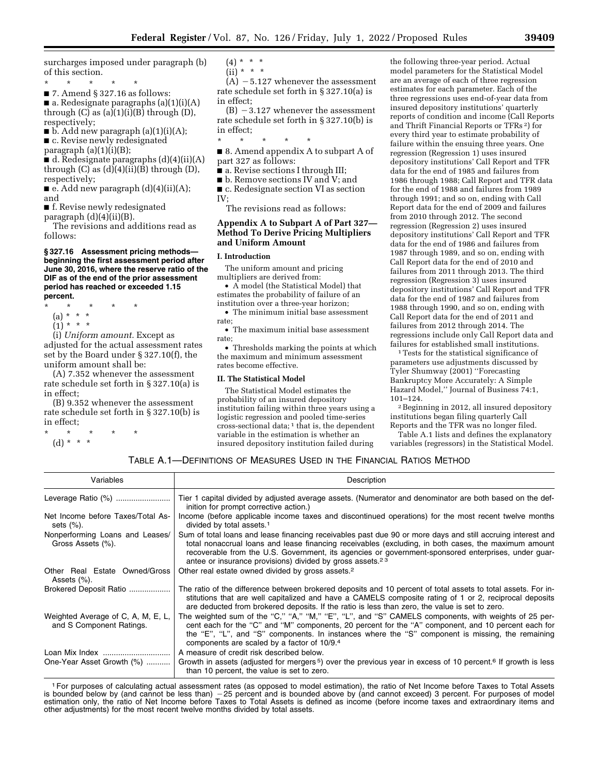surcharges imposed under paragraph (b) of this section.

- \* \* \* \* \*
- 7. Amend § 327.16 as follows:

■ a. Redesignate paragraphs (a)(1)(i)(A) through  $(C)$  as  $(a)(1)(i)(B)$  through  $(D)$ , respectively;

 $\blacksquare$  b. Add new paragraph (a)(1)(i)(A);

■ c. Revise newly redesignated paragraph (a)(1)(i)(B);

 $\bullet$  d. Redesignate paragraphs  $(d)(4)(ii)(A)$ through  $(C)$  as  $(d)(4)(ii)(B)$  through  $(D)$ ,

respectively;  $\blacksquare$  e. Add new paragraph (d)(4)(ii)(A);

and ■ f. Revise newly redesignated

paragraph (d)(4)(ii)(B).

The revisions and additions read as follows:

#### **§ 327.16 Assessment pricing methods beginning the first assessment period after June 30, 2016, where the reserve ratio of the DIF as of the end of the prior assessment period has reached or exceeded 1.15 percent.**

\* \* \* \* \*

(a) \* \* \*

 $(1) * * * *$ 

(i) *Uniform amount.* Except as adjusted for the actual assessment rates set by the Board under § 327.10(f), the uniform amount shall be:

(A) 7.352 whenever the assessment rate schedule set forth in § 327.10(a) is in effect;

(B) 9.352 whenever the assessment rate schedule set forth in § 327.10(b) is in effect;

- \* \* \* \* \*
- (d) \* \* \*

 $(4) * * * *$  $(ii) * * * *$ 

 $(A)$  –5.127 whenever the assessment rate schedule set forth in § 327.10(a) is in effect;

 $(B) -3.127$  whenever the assessment rate schedule set forth in § 327.10(b) is in effect;

\* \* \* \* \*

■ 8. Amend appendix A to subpart A of part 327 as follows:

■ a. Revise sections I through III;

■ b. Remove sections IV and V; and

■ c. Redesignate section VI as section IV;

The revisions read as follows:

## **Appendix A to Subpart A of Part 327— Method To Derive Pricing Multipliers and Uniform Amount**

## **I. Introduction**

The uniform amount and pricing multipliers are derived from:

• A model (the Statistical Model) that estimates the probability of failure of an institution over a three-year horizon;

• The minimum initial base assessment rate;

• The maximum initial base assessment rate;

• Thresholds marking the points at which the maximum and minimum assessment rates become effective.

#### **II. The Statistical Model**

The Statistical Model estimates the probability of an insured depository institution failing within three years using a logistic regression and pooled time-series cross-sectional data; 1 that is, the dependent variable in the estimation is whether an insured depository institution failed during

the following three-year period. Actual model parameters for the Statistical Model are an average of each of three regression estimates for each parameter. Each of the three regressions uses end-of-year data from insured depository institutions' quarterly reports of condition and income (Call Reports and Thrift Financial Reports or TFRs 2) for every third year to estimate probability of failure within the ensuing three years. One regression (Regression 1) uses insured depository institutions' Call Report and TFR data for the end of 1985 and failures from 1986 through 1988; Call Report and TFR data for the end of 1988 and failures from 1989 through 1991; and so on, ending with Call Report data for the end of 2009 and failures from 2010 through 2012. The second regression (Regression 2) uses insured depository institutions' Call Report and TFR data for the end of 1986 and failures from 1987 through 1989, and so on, ending with Call Report data for the end of 2010 and failures from 2011 through 2013. The third regression (Regression 3) uses insured depository institutions' Call Report and TFR data for the end of 1987 and failures from 1988 through 1990, and so on, ending with Call Report data for the end of 2011 and failures from 2012 through 2014. The regressions include only Call Report data and failures for established small institutions.<br><sup>1</sup>Tests for the statistical significance of

parameters use adjustments discussed by Tyler Shumway (2001) ''Forecasting Bankruptcy More Accurately: A Simple Hazard Model," Journal of Business 74:1,<br>101-124.

<sup>2</sup> Beginning in 2012, all insured depository institutions began filing quarterly Call Reports and the TFR was no longer filed.

Table A.1 lists and defines the explanatory variables (regressors) in the Statistical Model.

## TABLE A.1—DEFINITIONS OF MEASURES USED IN THE FINANCIAL RATIOS METHOD

| Variables                                                      | Description                                                                                                                                                                                                                                                                                                                                                                                         |
|----------------------------------------------------------------|-----------------------------------------------------------------------------------------------------------------------------------------------------------------------------------------------------------------------------------------------------------------------------------------------------------------------------------------------------------------------------------------------------|
| Leverage Ratio (%)                                             | Tier 1 capital divided by adjusted average assets. (Numerator and denominator are both based on the def-<br>inition for prompt corrective action.)                                                                                                                                                                                                                                                  |
| Net Income before Taxes/Total As-<br>sets (%).                 | Income (before applicable income taxes and discontinued operations) for the most recent twelve months<br>divided by total assets. <sup>1</sup>                                                                                                                                                                                                                                                      |
| Nonperforming Loans and Leases/<br>Gross Assets (%).           | Sum of total loans and lease financing receivables past due 90 or more days and still accruing interest and<br>total nonaccrual loans and lease financing receivables (excluding, in both cases, the maximum amount<br>recoverable from the U.S. Government, its agencies or government-sponsored enterprises, under guar-<br>antee or insurance provisions) divided by gross assets. <sup>23</sup> |
| Other Real Estate Owned/Gross<br>Assets (%).                   | Other real estate owned divided by gross assets. <sup>2</sup>                                                                                                                                                                                                                                                                                                                                       |
| Brokered Deposit Ratio                                         | The ratio of the difference between brokered deposits and 10 percent of total assets to total assets. For in-<br>stitutions that are well capitalized and have a CAMELS composite rating of 1 or 2, reciprocal deposits<br>are deducted from brokered deposits. If the ratio is less than zero, the value is set to zero.                                                                           |
| Weighted Average of C, A, M, E, L,<br>and S Component Ratings. | The weighted sum of the "C," "A," "M," "E", "L", and "S" CAMELS components, with weights of 25 per-<br>cent each for the "C" and "M" components, 20 percent for the "A" component, and 10 percent each for<br>the "E", "L", and "S" components. In instances where the "S" component is missing, the remaining<br>components are scaled by a factor of 10/9.4                                       |
| Loan Mix Index<br>One-Year Asset Growth (%)                    | A measure of credit risk described below.<br>Growth in assets (adjusted for mergers <sup>5</sup> ) over the previous year in excess of 10 percent. <sup>6</sup> If growth is less<br>than 10 percent, the value is set to zero.                                                                                                                                                                     |

1For purposes of calculating actual assessment rates (as opposed to model estimation), the ratio of Net Income before Taxes to Total Assets is bounded below by (and cannot be less than) -25 percent and is bounded above by (and cannot exceed) 3 percent. For purposes of model estimation only, the ratio of Net Income before Taxes to Total Assets is defined as income (before income taxes and extraordinary items and other adjustments) for the most recent twelve months divided by total assets.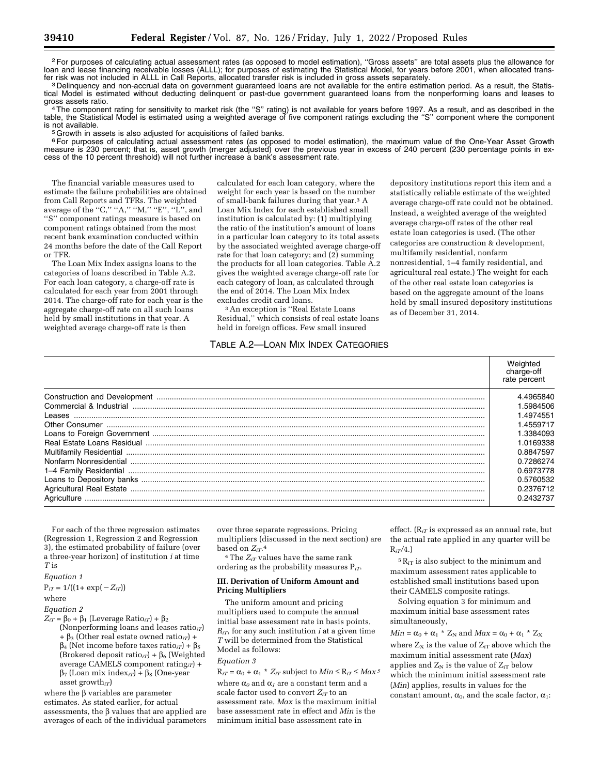2For purposes of calculating actual assessment rates (as opposed to model estimation), ''Gross assets'' are total assets plus the allowance for In and lease financing receivable losses (ALLL); for purposes of estimating the Statistical Model, for years before 2001, when allocated trans-<br>fer risk was not included in ALLL in Call Reports, allocated transfer risk is

<sup>3</sup> Delinquency and non-accrual data on government guaranteed loans are not available for the entire estimation period. As a result, the Statistical Model is estimated without deducting delinquent or past-due government guaranteed loans from the nonperforming loans and leases to<br>gross assets ratio.

gross assets ratio.<br>4The component rating for sensitivity to market risk (the "S" rating) is not available for years before 1997. As a result, and as described in the table, the Statistical Model is estimated using a weighted average of five component ratings excluding the ''S'' component where the component is not available.<br><sup>5</sup>Growth in assets is also adjusted for acquisitions of failed banks.

<sup>6</sup> For purposes of calculating actual assessment rates (as opposed to model estimation), the maximum value of the One-Year Asset Growth measure is 230 percent; that is, asset growth (merger adjusted) over the previous year in excess of 240 percent (230 percentage points in excess of the 10 percent threshold) will not further increase a bank's assessment rate.

The financial variable measures used to estimate the failure probabilities are obtained from Call Reports and TFRs. The weighted average of the "C," "A," "M," "E", "L", and ''S'' component ratings measure is based on component ratings obtained from the most recent bank examination conducted within 24 months before the date of the Call Report or TFR.

The Loan Mix Index assigns loans to the categories of loans described in Table A.2. For each loan category, a charge-off rate is calculated for each year from 2001 through 2014. The charge-off rate for each year is the aggregate charge-off rate on all such loans held by small institutions in that year. A weighted average charge-off rate is then

calculated for each loan category, where the weight for each year is based on the number of small-bank failures during that year.3 A Loan Mix Index for each established small institution is calculated by: (1) multiplying the ratio of the institution's amount of loans in a particular loan category to its total assets by the associated weighted average charge-off rate for that loan category; and (2) summing the products for all loan categories. Table A.2 gives the weighted average charge-off rate for each category of loan, as calculated through the end of 2014. The Loan Mix Index<br>excludes credit card loans.

<sup>3</sup> An exception is "Real Estate Loans Residual,'' which consists of real estate loans held in foreign offices. Few small insured

## TABLE A.2—LOAN MIX INDEX CATEGORIES

depository institutions report this item and a statistically reliable estimate of the weighted average charge-off rate could not be obtained. Instead, a weighted average of the weighted average charge-off rates of the other real estate loan categories is used. (The other categories are construction & development, multifamily residential, nonfarm nonresidential, 1–4 family residential, and agricultural real estate.) The weight for each of the other real estate loan categories is based on the aggregate amount of the loans held by small insured depository institutions as of December 31, 2014.

Weighted

|                                                                                                                                                                                                                                      | charge-off<br>rate percent |
|--------------------------------------------------------------------------------------------------------------------------------------------------------------------------------------------------------------------------------------|----------------------------|
|                                                                                                                                                                                                                                      | 4.4965840                  |
|                                                                                                                                                                                                                                      | 1.5984506                  |
|                                                                                                                                                                                                                                      | .4974551                   |
|                                                                                                                                                                                                                                      | 1.4559717                  |
|                                                                                                                                                                                                                                      | 1.3384093                  |
|                                                                                                                                                                                                                                      | 1.0169338                  |
|                                                                                                                                                                                                                                      | 0.8847597                  |
| Nonfarm Nonresidential <b>Executive Contract Contract Contract Contract Contract Contract Contract Contract Contract Contract Contract Contract Contract Contract Contract Contract Contract Contract Contract Contract Contract</b> | 0.7286274                  |
|                                                                                                                                                                                                                                      | 0.6973778                  |
|                                                                                                                                                                                                                                      | 0.5760532                  |
|                                                                                                                                                                                                                                      | 0.2376712                  |
| Agriculture                                                                                                                                                                                                                          | 0.2432737                  |

For each of the three regression estimates (Regression 1, Regression 2 and Regression 3), the estimated probability of failure (over a three-year horizon) of institution *i* at time *T* is

#### *Equation 1*

 $P_{iT} = 1/((1 + \exp(-Z_{iT}))$ 

where

#### *Equation 2*

 $Z_{iT} = \beta_0 + \beta_1$  (Leverage Ratio<sub>*iT*</sub>) +  $\beta_2$ (Nonperforming loans and leases ratio*iT*)  $+ \beta_3$  (Other real estate owned ratio<sub>*iT*</sub>) +

 $\beta_4$  (Net income before taxes ratio<sub>*iT*</sub>) +  $\beta_5$ (Brokered deposit ratio<sub>iT</sub>) +  $\beta$ <sub>6</sub> (Weighted average CAMELS component rating*iT*) +  $\beta_7$  (Loan mix index<sub>*iT*</sub>) +  $\beta_8$  (One-year asset growth*iT*)

where the  $\upbeta$  variables are parameter estimates. As stated earlier, for actual assessments, the  $\beta$  values that are applied are averages of each of the individual parameters

over three separate regressions. Pricing multipliers (discussed in the next section) are based on  $Z_i^T$ <sup>4</sup>

4The *ZiT* values have the same rank ordering as the probability measures P*iT*.

#### **III. Derivation of Uniform Amount and Pricing Multipliers**

The uniform amount and pricing multipliers used to compute the annual initial base assessment rate in basis points, *RiT*, for any such institution *i* at a given time *T* will be determined from the Statistical Model as follows: *Equation 3* 

 $R_{iT} = \alpha_0 + \alpha_1 * Z_{iT}$  subject to  $Min \leq R_{iT} \leq Max^5$ where  $\alpha_0$  and  $\alpha_1$  are a constant term and a scale factor used to convert  $Z_{iT}$  to an assessment rate, *Max* is the maximum initial base assessment rate in effect and *Min* is the minimum initial base assessment rate in

effect.  $(R<sub>iT</sub>$  is expressed as an annual rate, but the actual rate applied in any quarter will be R*iT/*4.)

 $5R_{iT}$  is also subject to the minimum and maximum assessment rates applicable to established small institutions based upon their CAMELS composite ratings.

Solving equation 3 for minimum and maximum initial base assessment rates simultaneously,

 $Min = \alpha_0 + \alpha_1 * Z_N$  and  $Max = \alpha_0 + \alpha_1 * Z_X$ where  $Z_X$  is the value of  $Z_{iT}$  above which the maximum initial assessment rate (*Max*) applies and  $Z_N$  is the value of  $Z_{iT}$  below which the minimum initial assessment rate (*Min*) applies, results in values for the constant amount,  $\alpha_0$ , and the scale factor,  $\alpha_1$ :